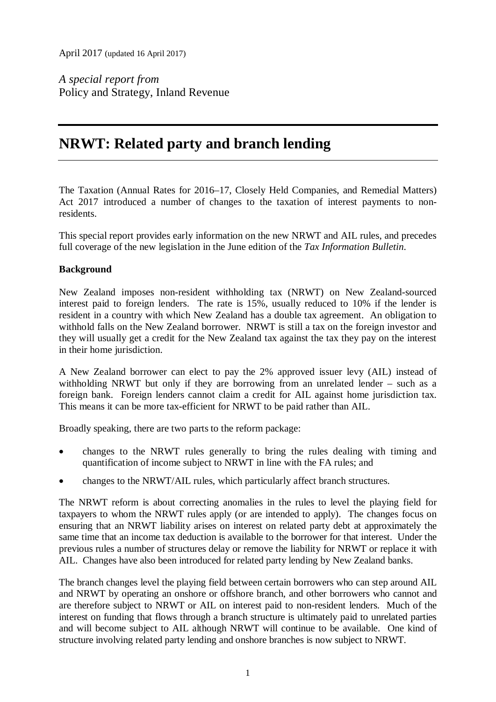April 2017 (updated 16 April 2017)

*A special report from* Policy and Strategy, Inland Revenue

# **NRWT: Related party and branch lending**

The Taxation (Annual Rates for 2016–17, Closely Held Companies, and Remedial Matters) Act 2017 introduced a number of changes to the taxation of interest payments to nonresidents.

This special report provides early information on the new NRWT and AIL rules, and precedes full coverage of the new legislation in the June edition of the *Tax Information Bulletin*.

# **Background**

New Zealand imposes non-resident withholding tax (NRWT) on New Zealand-sourced interest paid to foreign lenders. The rate is 15%, usually reduced to 10% if the lender is resident in a country with which New Zealand has a double tax agreement. An obligation to withhold falls on the New Zealand borrower. NRWT is still a tax on the foreign investor and they will usually get a credit for the New Zealand tax against the tax they pay on the interest in their home jurisdiction.

A New Zealand borrower can elect to pay the 2% approved issuer levy (AIL) instead of withholding NRWT but only if they are borrowing from an unrelated lender – such as a foreign bank. Foreign lenders cannot claim a credit for AIL against home jurisdiction tax. This means it can be more tax-efficient for NRWT to be paid rather than AIL.

Broadly speaking, there are two parts to the reform package:

- changes to the NRWT rules generally to bring the rules dealing with timing and quantification of income subject to NRWT in line with the FA rules; and
- changes to the NRWT/AIL rules, which particularly affect branch structures.

The NRWT reform is about correcting anomalies in the rules to level the playing field for taxpayers to whom the NRWT rules apply (or are intended to apply). The changes focus on ensuring that an NRWT liability arises on interest on related party debt at approximately the same time that an income tax deduction is available to the borrower for that interest. Under the previous rules a number of structures delay or remove the liability for NRWT or replace it with AIL. Changes have also been introduced for related party lending by New Zealand banks.

The branch changes level the playing field between certain borrowers who can step around AIL and NRWT by operating an onshore or offshore branch, and other borrowers who cannot and are therefore subject to NRWT or AIL on interest paid to non-resident lenders. Much of the interest on funding that flows through a branch structure is ultimately paid to unrelated parties and will become subject to AIL although NRWT will continue to be available. One kind of structure involving related party lending and onshore branches is now subject to NRWT.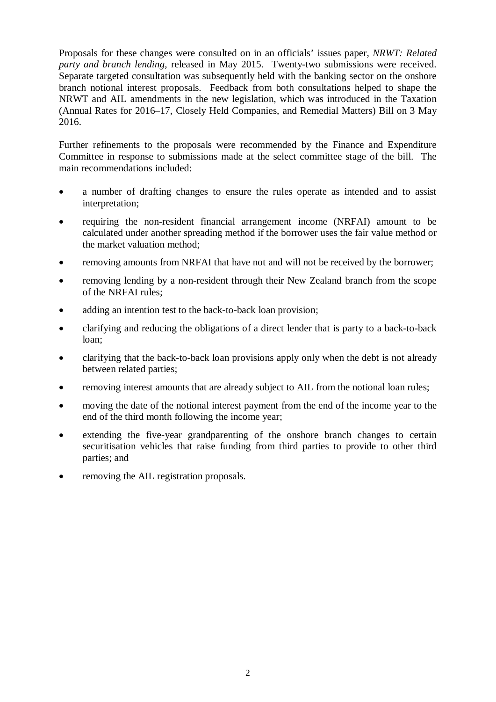Proposals for these changes were consulted on in an officials' issues paper, *NRWT: Related party and branch lending*, released in May 2015. Twenty-two submissions were received. Separate targeted consultation was subsequently held with the banking sector on the onshore branch notional interest proposals. Feedback from both consultations helped to shape the NRWT and AIL amendments in the new legislation, which was introduced in the Taxation (Annual Rates for 2016–17, Closely Held Companies, and Remedial Matters) Bill on 3 May 2016.

Further refinements to the proposals were recommended by the Finance and Expenditure Committee in response to submissions made at the select committee stage of the bill. The main recommendations included:

- a number of drafting changes to ensure the rules operate as intended and to assist interpretation;
- requiring the non-resident financial arrangement income (NRFAI) amount to be calculated under another spreading method if the borrower uses the fair value method or the market valuation method;
- removing amounts from NRFAI that have not and will not be received by the borrower;
- removing lending by a non-resident through their New Zealand branch from the scope of the NRFAI rules;
- adding an intention test to the back-to-back loan provision:
- clarifying and reducing the obligations of a direct lender that is party to a back-to-back loan;
- clarifying that the back-to-back loan provisions apply only when the debt is not already between related parties;
- removing interest amounts that are already subject to AIL from the notional loan rules;
- moving the date of the notional interest payment from the end of the income year to the end of the third month following the income year;
- extending the five-year grandparenting of the onshore branch changes to certain securitisation vehicles that raise funding from third parties to provide to other third parties; and
- removing the AIL registration proposals.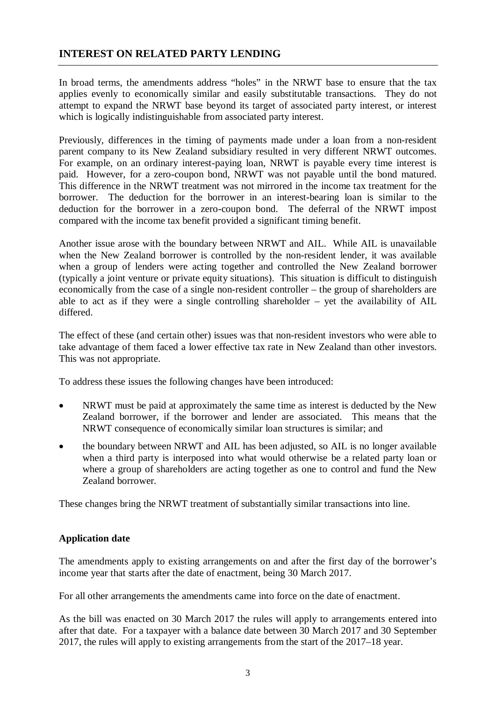# **INTEREST ON RELATED PARTY LENDING**

In broad terms, the amendments address "holes" in the NRWT base to ensure that the tax applies evenly to economically similar and easily substitutable transactions. They do not attempt to expand the NRWT base beyond its target of associated party interest, or interest which is logically indistinguishable from associated party interest.

Previously, differences in the timing of payments made under a loan from a non-resident parent company to its New Zealand subsidiary resulted in very different NRWT outcomes. For example, on an ordinary interest-paying loan, NRWT is payable every time interest is paid. However, for a zero-coupon bond, NRWT was not payable until the bond matured. This difference in the NRWT treatment was not mirrored in the income tax treatment for the borrower. The deduction for the borrower in an interest-bearing loan is similar to the deduction for the borrower in a zero-coupon bond. The deferral of the NRWT impost compared with the income tax benefit provided a significant timing benefit.

Another issue arose with the boundary between NRWT and AIL. While AIL is unavailable when the New Zealand borrower is controlled by the non-resident lender, it was available when a group of lenders were acting together and controlled the New Zealand borrower (typically a joint venture or private equity situations). This situation is difficult to distinguish economically from the case of a single non-resident controller – the group of shareholders are able to act as if they were a single controlling shareholder – yet the availability of AIL differed.

The effect of these (and certain other) issues was that non-resident investors who were able to take advantage of them faced a lower effective tax rate in New Zealand than other investors. This was not appropriate.

To address these issues the following changes have been introduced:

- NRWT must be paid at approximately the same time as interest is deducted by the New Zealand borrower, if the borrower and lender are associated. This means that the NRWT consequence of economically similar loan structures is similar; and
- the boundary between NRWT and AIL has been adjusted, so AIL is no longer available when a third party is interposed into what would otherwise be a related party loan or where a group of shareholders are acting together as one to control and fund the New Zealand borrower.

These changes bring the NRWT treatment of substantially similar transactions into line.

# **Application date**

The amendments apply to existing arrangements on and after the first day of the borrower's income year that starts after the date of enactment, being 30 March 2017.

For all other arrangements the amendments came into force on the date of enactment.

As the bill was enacted on 30 March 2017 the rules will apply to arrangements entered into after that date. For a taxpayer with a balance date between 30 March 2017 and 30 September 2017, the rules will apply to existing arrangements from the start of the 2017–18 year.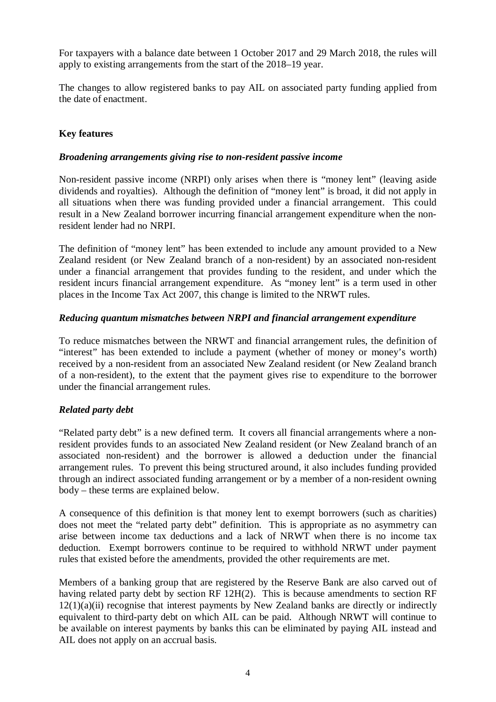For taxpayers with a balance date between 1 October 2017 and 29 March 2018, the rules will apply to existing arrangements from the start of the 2018–19 year.

The changes to allow registered banks to pay AIL on associated party funding applied from the date of enactment.

# **Key features**

### *Broadening arrangements giving rise to non-resident passive income*

Non-resident passive income (NRPI) only arises when there is "money lent" (leaving aside dividends and royalties). Although the definition of "money lent" is broad, it did not apply in all situations when there was funding provided under a financial arrangement. This could result in a New Zealand borrower incurring financial arrangement expenditure when the nonresident lender had no NRPI.

The definition of "money lent" has been extended to include any amount provided to a New Zealand resident (or New Zealand branch of a non-resident) by an associated non-resident under a financial arrangement that provides funding to the resident, and under which the resident incurs financial arrangement expenditure. As "money lent" is a term used in other places in the Income Tax Act 2007, this change is limited to the NRWT rules.

## *Reducing quantum mismatches between NRPI and financial arrangement expenditure*

To reduce mismatches between the NRWT and financial arrangement rules, the definition of "interest" has been extended to include a payment (whether of money or money's worth) received by a non-resident from an associated New Zealand resident (or New Zealand branch of a non-resident), to the extent that the payment gives rise to expenditure to the borrower under the financial arrangement rules.

# *Related party debt*

"Related party debt" is a new defined term. It covers all financial arrangements where a nonresident provides funds to an associated New Zealand resident (or New Zealand branch of an associated non-resident) and the borrower is allowed a deduction under the financial arrangement rules. To prevent this being structured around, it also includes funding provided through an indirect associated funding arrangement or by a member of a non-resident owning body – these terms are explained below.

A consequence of this definition is that money lent to exempt borrowers (such as charities) does not meet the "related party debt" definition. This is appropriate as no asymmetry can arise between income tax deductions and a lack of NRWT when there is no income tax deduction. Exempt borrowers continue to be required to withhold NRWT under payment rules that existed before the amendments, provided the other requirements are met.

Members of a banking group that are registered by the Reserve Bank are also carved out of having related party debt by section RF 12H(2). This is because amendments to section RF  $12(1)(a)(ii)$  recognise that interest payments by New Zealand banks are directly or indirectly equivalent to third-party debt on which AIL can be paid. Although NRWT will continue to be available on interest payments by banks this can be eliminated by paying AIL instead and AIL does not apply on an accrual basis.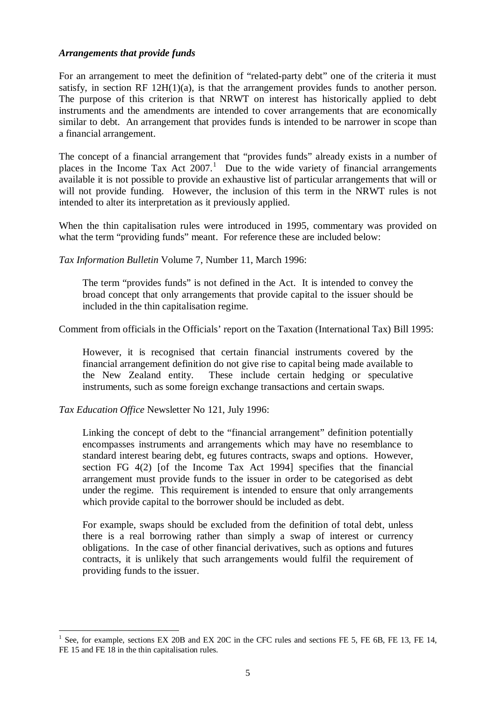### *Arrangements that provide funds*

For an arrangement to meet the definition of "related-party debt" one of the criteria it must satisfy, in section RF 12H(1)(a), is that the arrangement provides funds to another person. The purpose of this criterion is that NRWT on interest has historically applied to debt instruments and the amendments are intended to cover arrangements that are economically similar to debt. An arrangement that provides funds is intended to be narrower in scope than a financial arrangement.

The concept of a financial arrangement that "provides funds" already exists in a number of places in the Income Tax Act  $2007$ .<sup>[1](#page-4-0)</sup> Due to the wide variety of financial arrangements available it is not possible to provide an exhaustive list of particular arrangements that will or will not provide funding. However, the inclusion of this term in the NRWT rules is not intended to alter its interpretation as it previously applied.

When the thin capitalisation rules were introduced in 1995, commentary was provided on what the term "providing funds" meant. For reference these are included below:

*Tax Information Bulletin* Volume 7, Number 11, March 1996:

The term "provides funds" is not defined in the Act. It is intended to convey the broad concept that only arrangements that provide capital to the issuer should be included in the thin capitalisation regime.

Comment from officials in the Officials' report on the Taxation (International Tax) Bill 1995:

However, it is recognised that certain financial instruments covered by the financial arrangement definition do not give rise to capital being made available to the New Zealand entity. These include certain hedging or speculative instruments, such as some foreign exchange transactions and certain swaps.

*Tax Education Office* Newsletter No 121, July 1996:

 $\overline{a}$ 

Linking the concept of debt to the "financial arrangement" definition potentially encompasses instruments and arrangements which may have no resemblance to standard interest bearing debt, eg futures contracts, swaps and options. However, section FG 4(2) [of the Income Tax Act 1994] specifies that the financial arrangement must provide funds to the issuer in order to be categorised as debt under the regime. This requirement is intended to ensure that only arrangements which provide capital to the borrower should be included as debt.

For example, swaps should be excluded from the definition of total debt, unless there is a real borrowing rather than simply a swap of interest or currency obligations. In the case of other financial derivatives, such as options and futures contracts, it is unlikely that such arrangements would fulfil the requirement of providing funds to the issuer.

<span id="page-4-0"></span>See, for example, sections EX 20B and EX 20C in the CFC rules and sections FE 5, FE 6B, FE 13, FE 14, FE 15 and FE 18 in the thin capitalisation rules.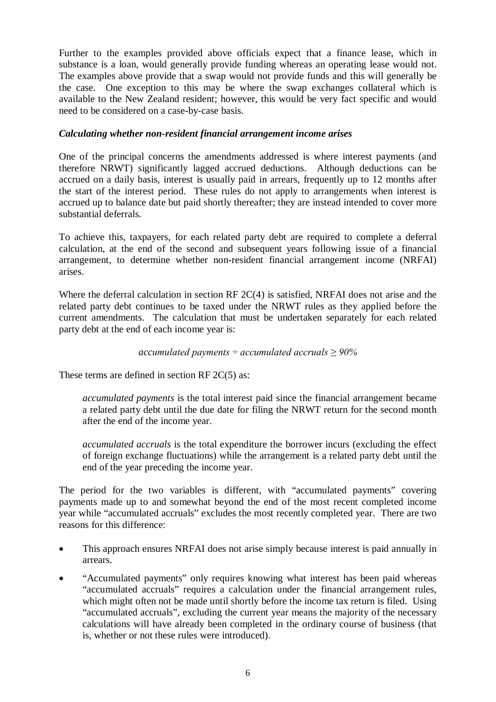Further to the examples provided above officials expect that a finance lease, which in substance is a loan, would generally provide funding whereas an operating lease would not. The examples above provide that a swap would not provide funds and this will generally be the case. One exception to this may be where the swap exchanges collateral which is available to the New Zealand resident; however, this would be very fact specific and would need to be considered on a case-by-case basis.

# *Calculating whether non-resident financial arrangement income arises*

One of the principal concerns the amendments addressed is where interest payments (and therefore NRWT) significantly lagged accrued deductions. Although deductions can be accrued on a daily basis, interest is usually paid in arrears, frequently up to 12 months after the start of the interest period. These rules do not apply to arrangements when interest is accrued up to balance date but paid shortly thereafter; they are instead intended to cover more substantial deferrals.

To achieve this, taxpayers, for each related party debt are required to complete a deferral calculation, at the end of the second and subsequent years following issue of a financial arrangement, to determine whether non-resident financial arrangement income (NRFAI) arises.

Where the deferral calculation in section RF 2C(4) is satisfied, NRFAI does not arise and the related party debt continues to be taxed under the NRWT rules as they applied before the current amendments. The calculation that must be undertaken separately for each related party debt at the end of each income year is:

### *accumulated payments ÷ accumulated accruals ≥ 90%*

These terms are defined in section RF 2C(5) as:

*accumulated payments* is the total interest paid since the financial arrangement became a related party debt until the due date for filing the NRWT return for the second month after the end of the income year.

*accumulated accruals* is the total expenditure the borrower incurs (excluding the effect of foreign exchange fluctuations) while the arrangement is a related party debt until the end of the year preceding the income year.

The period for the two variables is different, with "accumulated payments" covering payments made up to and somewhat beyond the end of the most recent completed income year while "accumulated accruals" excludes the most recently completed year. There are two reasons for this difference:

- This approach ensures NRFAI does not arise simply because interest is paid annually in arrears.
- "Accumulated payments" only requires knowing what interest has been paid whereas "accumulated accruals" requires a calculation under the financial arrangement rules, which might often not be made until shortly before the income tax return is filed. Using "accumulated accruals", excluding the current year means the majority of the necessary calculations will have already been completed in the ordinary course of business (that is, whether or not these rules were introduced).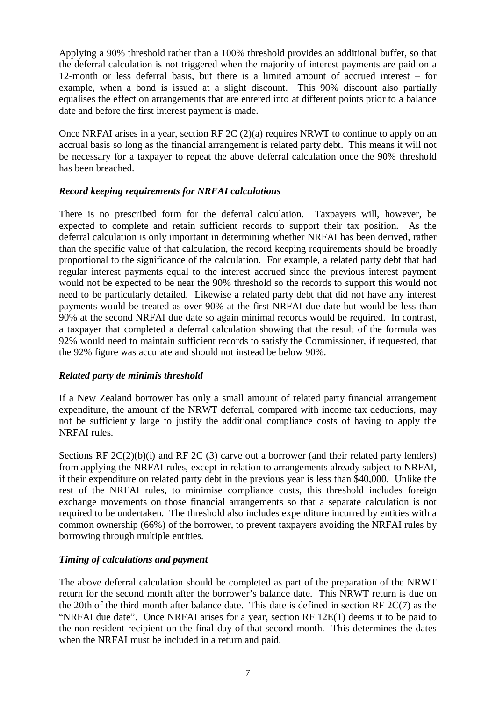Applying a 90% threshold rather than a 100% threshold provides an additional buffer, so that the deferral calculation is not triggered when the majority of interest payments are paid on a 12-month or less deferral basis, but there is a limited amount of accrued interest – for example, when a bond is issued at a slight discount. This 90% discount also partially equalises the effect on arrangements that are entered into at different points prior to a balance date and before the first interest payment is made.

Once NRFAI arises in a year, section RF 2C (2)(a) requires NRWT to continue to apply on an accrual basis so long as the financial arrangement is related party debt. This means it will not be necessary for a taxpayer to repeat the above deferral calculation once the 90% threshold has been breached.

# *Record keeping requirements for NRFAI calculations*

There is no prescribed form for the deferral calculation. Taxpayers will, however, be expected to complete and retain sufficient records to support their tax position. As the deferral calculation is only important in determining whether NRFAI has been derived, rather than the specific value of that calculation, the record keeping requirements should be broadly proportional to the significance of the calculation. For example, a related party debt that had regular interest payments equal to the interest accrued since the previous interest payment would not be expected to be near the 90% threshold so the records to support this would not need to be particularly detailed. Likewise a related party debt that did not have any interest payments would be treated as over 90% at the first NRFAI due date but would be less than 90% at the second NRFAI due date so again minimal records would be required. In contrast, a taxpayer that completed a deferral calculation showing that the result of the formula was 92% would need to maintain sufficient records to satisfy the Commissioner, if requested, that the 92% figure was accurate and should not instead be below 90%.

# *Related party de minimis threshold*

If a New Zealand borrower has only a small amount of related party financial arrangement expenditure, the amount of the NRWT deferral, compared with income tax deductions, may not be sufficiently large to justify the additional compliance costs of having to apply the NRFAI rules.

Sections RF 2C(2)(b)(i) and RF 2C (3) carve out a borrower (and their related party lenders) from applying the NRFAI rules, except in relation to arrangements already subject to NRFAI, if their expenditure on related party debt in the previous year is less than \$40,000. Unlike the rest of the NRFAI rules, to minimise compliance costs, this threshold includes foreign exchange movements on those financial arrangements so that a separate calculation is not required to be undertaken. The threshold also includes expenditure incurred by entities with a common ownership (66%) of the borrower, to prevent taxpayers avoiding the NRFAI rules by borrowing through multiple entities.

# *Timing of calculations and payment*

The above deferral calculation should be completed as part of the preparation of the NRWT return for the second month after the borrower's balance date. This NRWT return is due on the 20th of the third month after balance date. This date is defined in section RF 2C(7) as the "NRFAI due date". Once NRFAI arises for a year, section RF 12E(1) deems it to be paid to the non-resident recipient on the final day of that second month. This determines the dates when the NRFAI must be included in a return and paid.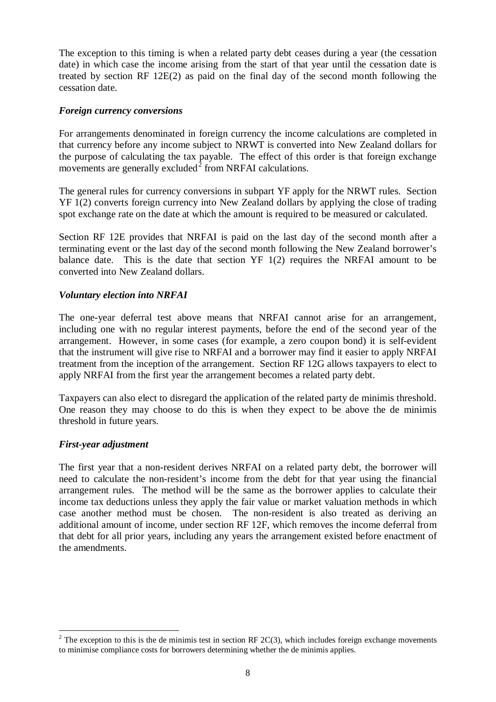The exception to this timing is when a related party debt ceases during a year (the cessation date) in which case the income arising from the start of that year until the cessation date is treated by section RF 12E(2) as paid on the final day of the second month following the cessation date.

### *Foreign currency conversions*

For arrangements denominated in foreign currency the income calculations are completed in that currency before any income subject to NRWT is converted into New Zealand dollars for the purpose of calculating the tax payable. The effect of this order is that foreign exchange movements are generally excluded<sup>[2](#page-7-0)</sup> from NRFAI calculations.

The general rules for currency conversions in subpart YF apply for the NRWT rules. Section YF 1(2) converts foreign currency into New Zealand dollars by applying the close of trading spot exchange rate on the date at which the amount is required to be measured or calculated.

Section RF 12E provides that NRFAI is paid on the last day of the second month after a terminating event or the last day of the second month following the New Zealand borrower's balance date. This is the date that section  $YF(1(2))$  requires the NRFAI amount to be converted into New Zealand dollars.

## *Voluntary election into NRFAI*

The one-year deferral test above means that NRFAI cannot arise for an arrangement, including one with no regular interest payments, before the end of the second year of the arrangement. However, in some cases (for example, a zero coupon bond) it is self-evident that the instrument will give rise to NRFAI and a borrower may find it easier to apply NRFAI treatment from the inception of the arrangement. Section RF 12G allows taxpayers to elect to apply NRFAI from the first year the arrangement becomes a related party debt.

Taxpayers can also elect to disregard the application of the related party de minimis threshold. One reason they may choose to do this is when they expect to be above the de minimis threshold in future years.

### *First-year adjustment*

 $\overline{a}$ 

The first year that a non-resident derives NRFAI on a related party debt, the borrower will need to calculate the non-resident's income from the debt for that year using the financial arrangement rules. The method will be the same as the borrower applies to calculate their income tax deductions unless they apply the fair value or market valuation methods in which case another method must be chosen. The non-resident is also treated as deriving an additional amount of income, under section RF 12F, which removes the income deferral from that debt for all prior years, including any years the arrangement existed before enactment of the amendments.

<span id="page-7-0"></span> $2$  The exception to this is the de minimis test in section RF 2C(3), which includes foreign exchange movements to minimise compliance costs for borrowers determining whether the de minimis applies.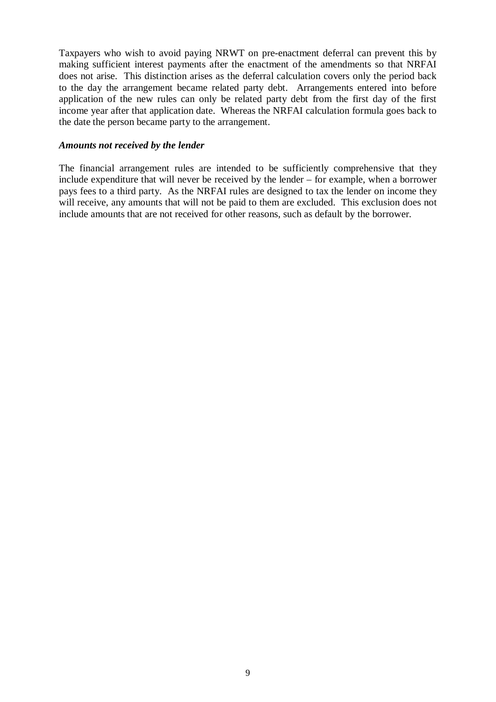Taxpayers who wish to avoid paying NRWT on pre-enactment deferral can prevent this by making sufficient interest payments after the enactment of the amendments so that NRFAI does not arise. This distinction arises as the deferral calculation covers only the period back to the day the arrangement became related party debt. Arrangements entered into before application of the new rules can only be related party debt from the first day of the first income year after that application date. Whereas the NRFAI calculation formula goes back to the date the person became party to the arrangement.

### *Amounts not received by the lender*

The financial arrangement rules are intended to be sufficiently comprehensive that they include expenditure that will never be received by the lender – for example, when a borrower pays fees to a third party. As the NRFAI rules are designed to tax the lender on income they will receive, any amounts that will not be paid to them are excluded. This exclusion does not include amounts that are not received for other reasons, such as default by the borrower.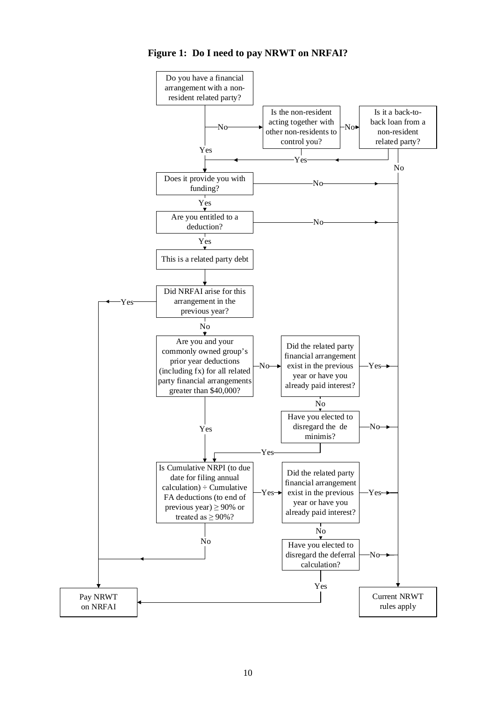

**Figure 1: Do I need to pay NRWT on NRFAI?**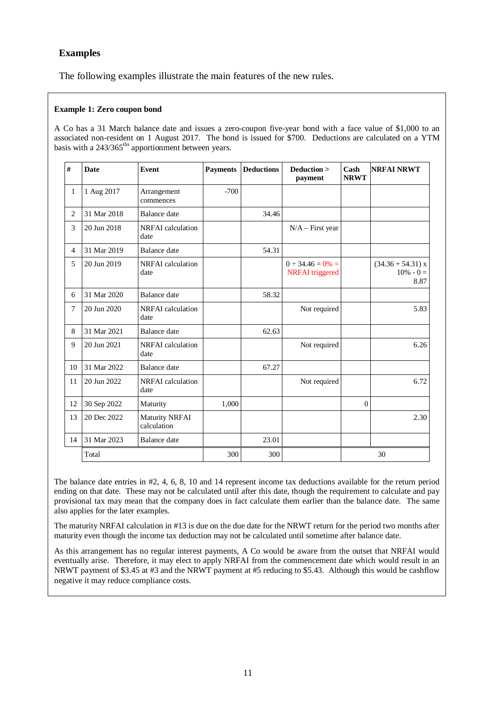# **Examples**

The following examples illustrate the main features of the new rules.

### **Example 1: Zero coupon bond**

A Co has a 31 March balance date and issues a zero-coupon five-year bond with a face value of \$1,000 to an associated non-resident on 1 August 2017. The bond is issued for \$700. Deductions are calculated on a YTM basis with a 243/365<sup>ths</sup> apportionment between years.

| #              | <b>Date</b> | Event                                | <b>Payments</b> | <b>Deductions</b> | Deduction ><br>payment                           | Cash<br><b>NRWT</b> | <b>NRFAI NRWT</b>                           |
|----------------|-------------|--------------------------------------|-----------------|-------------------|--------------------------------------------------|---------------------|---------------------------------------------|
| $\mathbf{1}$   | 1 Aug 2017  | Arrangement<br>commences             | $-700$          |                   |                                                  |                     |                                             |
| $\overline{2}$ | 31 Mar 2018 | Balance date                         |                 | 34.46             |                                                  |                     |                                             |
| 3              | 20 Jun 2018 | NRFAI calculation<br>date            |                 |                   | $N/A$ – First year                               |                     |                                             |
| $\overline{4}$ | 31 Mar 2019 | <b>Balance</b> date                  |                 | 54.31             |                                                  |                     |                                             |
| 5              | 20 Jun 2019 | NRFAI calculation<br>date            |                 |                   | $0 \div 34.46 = 0\% =$<br><b>NRFAI</b> triggered |                     | $(34.36 + 54.31)$ x<br>$10\% - 0 =$<br>8.87 |
| 6              | 31 Mar 2020 | <b>Balance</b> date                  |                 | 58.32             |                                                  |                     |                                             |
| 7              | 20 Jun 2020 | <b>NRFAI</b> calculation<br>date     |                 |                   | Not required                                     |                     | 5.83                                        |
| 8              | 31 Mar 2021 | Balance date                         |                 | 62.63             |                                                  |                     |                                             |
| 9              | 20 Jun 2021 | NRFAI calculation<br>date            |                 |                   | Not required                                     |                     | 6.26                                        |
| 10             | 31 Mar 2022 | <b>Balance</b> date                  |                 | 67.27             |                                                  |                     |                                             |
| 11             | 20 Jun 2022 | NRFAI calculation<br>date            |                 |                   | Not required                                     |                     | 6.72                                        |
| 12             | 30 Sep 2022 | Maturity                             | 1.000           |                   |                                                  | $\Omega$            |                                             |
| 13             | 20 Dec 2022 | <b>Maturity NRFAI</b><br>calculation |                 |                   |                                                  |                     | 2.30                                        |
| 14             | 31 Mar 2023 | <b>Balance</b> date                  |                 | 23.01             |                                                  |                     |                                             |
|                | Total       |                                      | 300             | 300               |                                                  |                     | 30                                          |

The balance date entries in #2, 4, 6, 8, 10 and 14 represent income tax deductions available for the return period ending on that date. These may not be calculated until after this date, though the requirement to calculate and pay provisional tax may mean that the company does in fact calculate them earlier than the balance date. The same also applies for the later examples.

The maturity NRFAI calculation in #13 is due on the due date for the NRWT return for the period two months after maturity even though the income tax deduction may not be calculated until sometime after balance date.

As this arrangement has no regular interest payments, A Co would be aware from the outset that NRFAI would eventually arise. Therefore, it may elect to apply NRFAI from the commencement date which would result in an NRWT payment of \$3.45 at #3 and the NRWT payment at #5 reducing to \$5.43. Although this would be cashflow negative it may reduce compliance costs.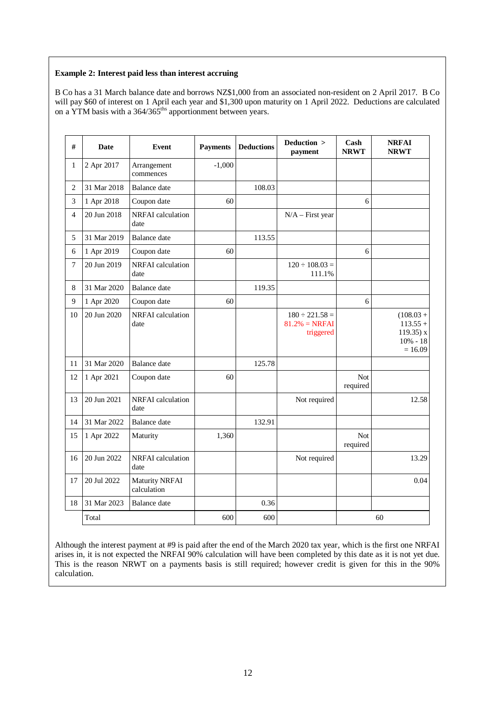#### **Example 2: Interest paid less than interest accruing**

B Co has a 31 March balance date and borrows NZ\$1,000 from an associated non-resident on 2 April 2017. B Co will pay \$60 of interest on 1 April each year and \$1,300 upon maturity on 1 April 2022. Deductions are calculated on a YTM basis with a  $364/365^{ths}$  apportionment between years.

| #              | <b>Date</b> | Event                                | <b>Payments</b> | <b>Deductions</b> | Deduction ><br>payment                               | Cash<br><b>NRWT</b>    | <b>NRFAI</b><br><b>NRWT</b>                                           |
|----------------|-------------|--------------------------------------|-----------------|-------------------|------------------------------------------------------|------------------------|-----------------------------------------------------------------------|
| $\mathbf{1}$   | 2 Apr 2017  | Arrangement<br>commences             | $-1,000$        |                   |                                                      |                        |                                                                       |
| 2              | 31 Mar 2018 | Balance date                         |                 | 108.03            |                                                      |                        |                                                                       |
| 3              | 1 Apr 2018  | Coupon date                          | 60              |                   |                                                      | 6                      |                                                                       |
| $\overline{4}$ | 20 Jun 2018 | NRFAI calculation<br>date            |                 |                   | $N/A$ – First year                                   |                        |                                                                       |
| 5              | 31 Mar 2019 | <b>Balance</b> date                  |                 | 113.55            |                                                      |                        |                                                                       |
| 6              | 1 Apr 2019  | Coupon date                          | 60              |                   |                                                      | 6                      |                                                                       |
| $\tau$         | 20 Jun 2019 | NRFAI calculation<br>date            |                 |                   | $120 \div 108.03 =$<br>111.1%                        |                        |                                                                       |
| $\,8\,$        | 31 Mar 2020 | <b>Balance</b> date                  |                 | 119.35            |                                                      |                        |                                                                       |
| 9              | 1 Apr 2020  | Coupon date                          | 60              |                   |                                                      | 6                      |                                                                       |
| 10             | 20 Jun 2020 | NRFAI calculation<br>date            |                 |                   | $180 \div 221.58 =$<br>$81.2\% = NRFAI$<br>triggered |                        | $(108.03 +$<br>$113.55 +$<br>$119.35$ ) x<br>$10\% - 18$<br>$= 16.09$ |
| 11             | 31 Mar 2020 | <b>Balance</b> date                  |                 | 125.78            |                                                      |                        |                                                                       |
| 12             | 1 Apr 2021  | Coupon date                          | 60              |                   |                                                      | Not<br>required        |                                                                       |
| 13             | 20 Jun 2021 | NRFAI calculation<br>date            |                 |                   | Not required                                         |                        | 12.58                                                                 |
| 14             | 31 Mar 2022 | <b>Balance</b> date                  |                 | 132.91            |                                                      |                        |                                                                       |
| 15             | 1 Apr 2022  | Maturity                             | 1,360           |                   |                                                      | <b>Not</b><br>required |                                                                       |
| 16             | 20 Jun 2022 | NRFAI calculation<br>date            |                 |                   | Not required                                         |                        | 13.29                                                                 |
| 17             | 20 Jul 2022 | <b>Maturity NRFAI</b><br>calculation |                 |                   |                                                      |                        | 0.04                                                                  |
| 18             | 31 Mar 2023 | Balance date                         |                 | 0.36              |                                                      |                        |                                                                       |
|                | Total       |                                      | 600             | 600               |                                                      |                        | 60                                                                    |

Although the interest payment at #9 is paid after the end of the March 2020 tax year, which is the first one NRFAI arises in, it is not expected the NRFAI 90% calculation will have been completed by this date as it is not yet due. This is the reason NRWT on a payments basis is still required; however credit is given for this in the 90% calculation.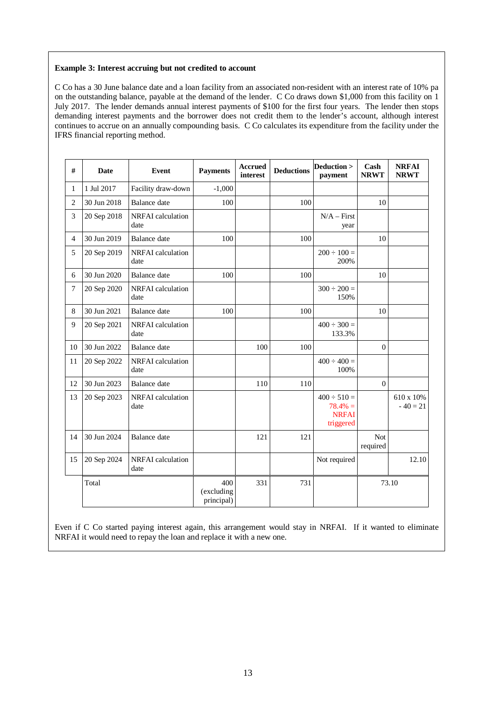### **Example 3: Interest accruing but not credited to account**

C Co has a 30 June balance date and a loan facility from an associated non-resident with an interest rate of 10% pa on the outstanding balance, payable at the demand of the lender. C Co draws down \$1,000 from this facility on 1 July 2017. The lender demands annual interest payments of \$100 for the first four years. The lender then stops demanding interest payments and the borrower does not credit them to the lender's account, although interest continues to accrue on an annually compounding basis. C Co calculates its expenditure from the facility under the IFRS financial reporting method.

| $\#$           | Date        | <b>Event</b>                     | <b>Payments</b>                 | <b>Accrued</b><br>interest | <b>Deductions</b> | Deduction ><br>payment                                      | Cash<br><b>NRWT</b>    | <b>NRFAI</b><br><b>NRWT</b> |
|----------------|-------------|----------------------------------|---------------------------------|----------------------------|-------------------|-------------------------------------------------------------|------------------------|-----------------------------|
| $\mathbf{1}$   | 1 Jul 2017  | Facility draw-down               | $-1,000$                        |                            |                   |                                                             |                        |                             |
| $\overline{2}$ | 30 Jun 2018 | <b>Balance</b> date              | 100                             |                            | 100               |                                                             | 10                     |                             |
| 3              | 20 Sep 2018 | <b>NRFAI</b> calculation<br>date |                                 |                            |                   | $N/A - First$<br>year                                       |                        |                             |
| $\overline{4}$ | 30 Jun 2019 | <b>Balance</b> date              | 100                             |                            | 100               |                                                             | 10                     |                             |
| 5              | 20 Sep 2019 | NRFAI calculation<br>date        |                                 |                            |                   | $200 \div 100 =$<br>200%                                    |                        |                             |
| 6              | 30 Jun 2020 | <b>Balance</b> date              | 100                             |                            | 100               |                                                             | 10                     |                             |
| 7              | 20 Sep 2020 | NRFAI calculation<br>date        |                                 |                            |                   | $300 \div 200 =$<br>150%                                    |                        |                             |
| 8              | 30 Jun 2021 | <b>Balance</b> date              | 100                             |                            | 100               |                                                             | 10                     |                             |
| 9              | 20 Sep 2021 | NRFAI calculation<br>date        |                                 |                            |                   | $400 \div 300 =$<br>133.3%                                  |                        |                             |
| 10             | 30 Jun 2022 | Balance date                     |                                 | 100                        | 100               |                                                             | $\theta$               |                             |
| 11             | 20 Sep 2022 | NRFAI calculation<br>date        |                                 |                            |                   | $400 \div 400 =$<br>100%                                    |                        |                             |
| 12             | 30 Jun 2023 | <b>Balance</b> date              |                                 | 110                        | 110               |                                                             | $\theta$               |                             |
| 13             | 20 Sep 2023 | NRFAI calculation<br>date        |                                 |                            |                   | $400 \div 510 =$<br>$78.4\% =$<br><b>NRFAI</b><br>triggered |                        | 610 x 10%<br>$-40=21$       |
| 14             | 30 Jun 2024 | <b>Balance</b> date              |                                 | 121                        | 121               |                                                             | <b>Not</b><br>required |                             |
| 15             | 20 Sep 2024 | NRFAI calculation<br>date        |                                 |                            |                   | Not required                                                |                        | 12.10                       |
|                | Total       |                                  | 400<br>(excluding<br>principal) | 331                        | 731               |                                                             |                        | 73.10                       |

Even if C Co started paying interest again, this arrangement would stay in NRFAI. If it wanted to eliminate NRFAI it would need to repay the loan and replace it with a new one.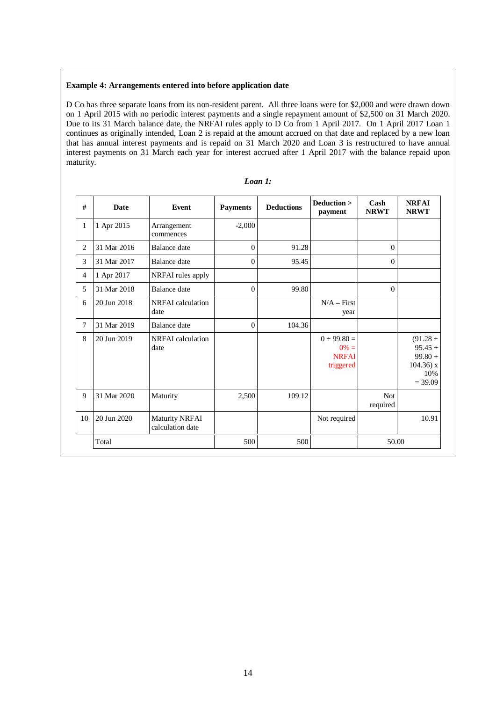#### **Example 4: Arrangements entered into before application date**

D Co has three separate loans from its non-resident parent. All three loans were for \$2,000 and were drawn down on 1 April 2015 with no periodic interest payments and a single repayment amount of \$2,500 on 31 March 2020. Due to its 31 March balance date, the NRFAI rules apply to D Co from 1 April 2017. On 1 April 2017 Loan 1 continues as originally intended, Loan 2 is repaid at the amount accrued on that date and replaced by a new loan that has annual interest payments and is repaid on 31 March 2020 and Loan 3 is restructured to have annual interest payments on 31 March each year for interest accrued after 1 April 2017 with the balance repaid upon maturity.

| #            | Date        | Event                                     | <b>Payments</b> | <b>Deductions</b> | Deduction ><br>payment                                   | Cash<br><b>NRWT</b>    | <b>NRFAI</b><br><b>NRWT</b>                                              |
|--------------|-------------|-------------------------------------------|-----------------|-------------------|----------------------------------------------------------|------------------------|--------------------------------------------------------------------------|
| $\mathbf{1}$ | 1 Apr 2015  | Arrangement<br>commences                  | $-2,000$        |                   |                                                          |                        |                                                                          |
| 2            | 31 Mar 2016 | Balance date                              | $\Omega$        | 91.28             |                                                          | $\theta$               |                                                                          |
| 3            | 31 Mar 2017 | Balance date                              | $\theta$        | 95.45             |                                                          | $\theta$               |                                                                          |
| 4            | 1 Apr 2017  | NRFAI rules apply                         |                 |                   |                                                          |                        |                                                                          |
| 5            | 31 Mar 2018 | Balance date                              | $\overline{0}$  | 99.80             |                                                          | $\theta$               |                                                                          |
| 6            | 20 Jun 2018 | NRFAI calculation<br>date                 |                 |                   | $N/A - First$<br>year                                    |                        |                                                                          |
| 7            | 31 Mar 2019 | Balance date                              | $\theta$        | 104.36            |                                                          |                        |                                                                          |
| 8            | 20 Jun 2019 | NRFAI calculation<br>date                 |                 |                   | $0 \div 99.80 =$<br>$0\% =$<br><b>NRFAI</b><br>triggered |                        | $(91.28 +$<br>$95.45 +$<br>$99.80 +$<br>$104.36$ ) x<br>10%<br>$= 39.09$ |
| $\mathbf Q$  | 31 Mar 2020 | Maturity                                  | 2,500           | 109.12            |                                                          | <b>Not</b><br>required |                                                                          |
| 10           | 20 Jun 2020 | <b>Maturity NRFAI</b><br>calculation date |                 |                   | Not required                                             |                        | 10.91                                                                    |
|              | Total       |                                           | 500             | 500               |                                                          | 50.00                  |                                                                          |

#### *Loan 1:*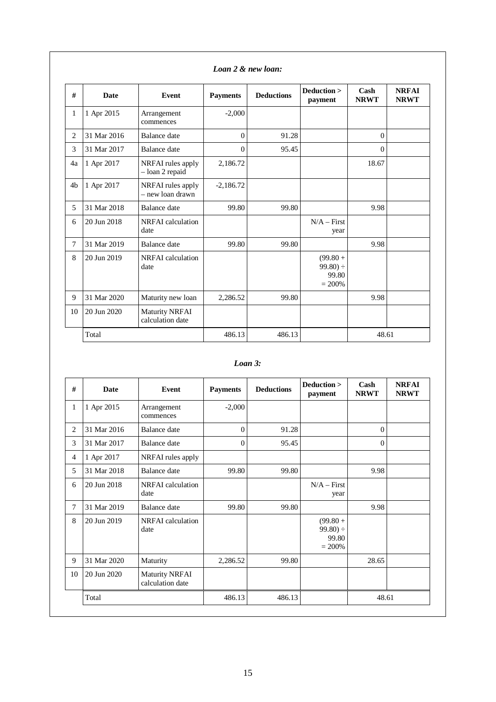| #              | <b>Date</b> | <b>Event</b>                              | <b>Payments</b> | <b>Deductions</b> | Deduction ><br>payment                          | Cash<br><b>NRWT</b> | <b>NRFAI</b><br><b>NRWT</b> |
|----------------|-------------|-------------------------------------------|-----------------|-------------------|-------------------------------------------------|---------------------|-----------------------------|
| $\mathbf{1}$   | 1 Apr 2015  | Arrangement<br>commences                  | $-2,000$        |                   |                                                 |                     |                             |
| $\overline{c}$ | 31 Mar 2016 | Balance date                              | $\Omega$        | 91.28             |                                                 | $\Omega$            |                             |
| 3              | 31 Mar 2017 | Balance date                              | $\Omega$        | 95.45             |                                                 | $\Omega$            |                             |
| 4a             | 1 Apr 2017  | NRFAI rules apply<br>- loan 2 repaid      | 2,186.72        |                   |                                                 | 18.67               |                             |
| 4 <sub>b</sub> | 1 Apr 2017  | NRFAI rules apply<br>- new loan drawn     | $-2,186.72$     |                   |                                                 |                     |                             |
| 5              | 31 Mar 2018 | Balance date                              | 99.80           | 99.80             |                                                 | 9.98                |                             |
| 6              | 20 Jun 2018 | NRFAI calculation<br>date                 |                 |                   | $N/A - First$<br>year                           |                     |                             |
| 7              | 31 Mar 2019 | Balance date                              | 99.80           | 99.80             |                                                 | 9.98                |                             |
| 8              | 20 Jun 2019 | NRFAI calculation<br>date                 |                 |                   | $(99.80 +$<br>$99.80$ ) ÷<br>99.80<br>$= 200\%$ |                     |                             |
| 9              | 31 Mar 2020 | Maturity new loan                         | 2,286.52        | 99.80             |                                                 | 9.98                |                             |
| 10             | 20 Jun 2020 | <b>Maturity NRFAI</b><br>calculation date |                 |                   |                                                 |                     |                             |
|                | Total       |                                           | 486.13          | 486.13            |                                                 | 48.61               |                             |

### *Loan 2 & new loan:*

### *Loan 3:*

| #              | <b>Date</b> | Event                                     | <b>Payments</b> | <b>Deductions</b> | Deduction ><br>payment                           | Cash<br><b>NRWT</b> | <b>NRFAI</b><br><b>NRWT</b> |
|----------------|-------------|-------------------------------------------|-----------------|-------------------|--------------------------------------------------|---------------------|-----------------------------|
| 1              | 1 Apr 2015  | Arrangement<br>commences                  | $-2,000$        |                   |                                                  |                     |                             |
| $\overline{2}$ | 31 Mar 2016 | Balance date                              | $\overline{0}$  | 91.28             |                                                  | $\Omega$            |                             |
| 3              | 31 Mar 2017 | Balance date                              | $\overline{0}$  | 95.45             |                                                  | $\Omega$            |                             |
| 4              | 1 Apr 2017  | NRFAI rules apply                         |                 |                   |                                                  |                     |                             |
| 5              | 31 Mar 2018 | Balance date                              | 99.80           | 99.80             |                                                  | 9.98                |                             |
| 6              | 20 Jun 2018 | NRFAI calculation<br>date                 |                 |                   | $N/A - First$<br>year                            |                     |                             |
| 7              | 31 Mar 2019 | Balance date                              | 99.80           | 99.80             |                                                  | 9.98                |                             |
| 8              | 20 Jun 2019 | NRFAI calculation<br>date                 |                 |                   | $(99.80 +$<br>$99.80 \div$<br>99.80<br>$= 200\%$ |                     |                             |
| 9              | 31 Mar 2020 | Maturity                                  | 2,286.52        | 99.80             |                                                  | 28.65               |                             |
| 10             | 20 Jun 2020 | <b>Maturity NRFAI</b><br>calculation date |                 |                   |                                                  |                     |                             |
|                | Total       |                                           | 486.13          | 486.13            |                                                  | 48.61               |                             |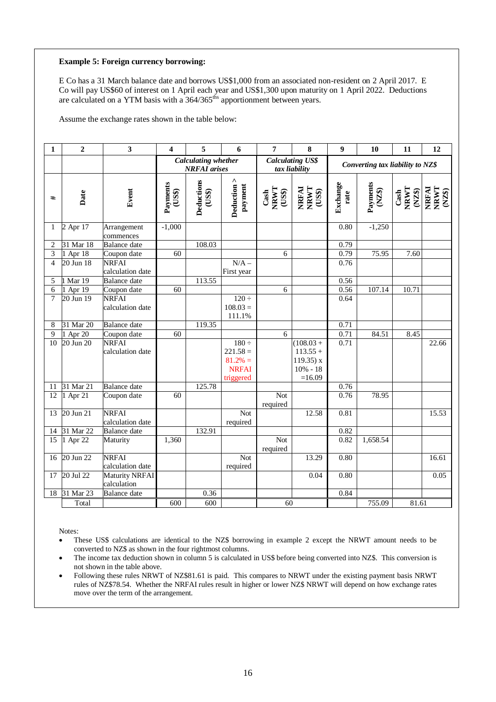#### **Example 5: Foreign currency borrowing:**

E Co has a 31 March balance date and borrows US\$1,000 from an associated non-resident on 2 April 2017. E Co will pay US\$60 of interest on 1 April each year and US\$1,300 upon maturity on 1 April 2022. Deductions are calculated on a YTM basis with a  $364/365^{\text{ths}}$  apportionment between years.

Assume the exchange rates shown in the table below:

| $\mathbf{1}$             | $\overline{2}$ | 3                        | $\overline{\mathbf{4}}$ | 5                                                 | 6                      | 7                                         | 8                                        | 9                | 10                               | 11                                                                       | 12                           |
|--------------------------|----------------|--------------------------|-------------------------|---------------------------------------------------|------------------------|-------------------------------------------|------------------------------------------|------------------|----------------------------------|--------------------------------------------------------------------------|------------------------------|
|                          |                |                          |                         | <b>Calculating whether</b><br><b>NRFAI</b> arises |                        |                                           | <b>Calculating US\$</b><br>tax liability |                  | Converting tax liability to NZ\$ |                                                                          |                              |
| #                        | Date           | Event                    | Payments<br>(US\$)      | Deductions<br>(US\$)                              | Deduction ><br>payment | $\frac{\text{Cash}}{\text{NRWT}}$<br>(US) | NRFAI<br>NRWT<br>(US\$)                  | Exchange<br>rate | Payments<br>$(XZ\$               | $\begin{array}{c} \text{Cash} \\ \text{NRWT} \\ \text{NZ\$} \end{array}$ | <b>THEAL</b><br>TANT<br>TANT |
| 1                        | 2 Apr 17       | Arrangement<br>commences | $-1,000$                |                                                   |                        |                                           |                                          | 0.80             | $-1,250$                         |                                                                          |                              |
| $\overline{c}$           | 31 Mar 18      | <b>Balance</b> date      |                         | 108.03                                            |                        |                                           |                                          | 0.79             |                                  |                                                                          |                              |
| 3                        | 1 Apr 18       | Coupon date              | 60                      |                                                   |                        | 6                                         |                                          | 0.79             | 75.95                            | 7.60                                                                     |                              |
| $\overline{\mathcal{L}}$ | 20 Jun 18      | <b>NRFAI</b>             |                         |                                                   | $N/A -$                |                                           |                                          | 0.76             |                                  |                                                                          |                              |
|                          |                | calculation date         |                         |                                                   | First year             |                                           |                                          |                  |                                  |                                                                          |                              |
| 5                        | 1 Mar 19       | Balance date             |                         | 113.55                                            |                        |                                           |                                          | 0.56             |                                  |                                                                          |                              |
| 6                        | 1 Apr 19       | Coupon date              | 60                      |                                                   |                        | 6                                         |                                          | 0.56             | 107.14                           | 10.71                                                                    |                              |
| 7                        | 20 Jun 19      | <b>NRFAI</b>             |                         |                                                   | $120 \div$             |                                           |                                          | 0.64             |                                  |                                                                          |                              |
|                          |                | calculation date         |                         |                                                   | $108.03 =$             |                                           |                                          |                  |                                  |                                                                          |                              |
|                          |                |                          |                         |                                                   | 111.1%                 |                                           |                                          |                  |                                  |                                                                          |                              |
| 8                        | 31 Mar 20      | <b>Balance</b> date      |                         | 119.35                                            |                        |                                           |                                          | 0.71             |                                  |                                                                          |                              |
| 9                        | 1 Apr 20       | Coupon date              | 60                      |                                                   |                        | 6                                         |                                          | 0.71             | 84.51                            | 8.45                                                                     |                              |
| 10                       | 20 Jun 20      | <b>NRFAI</b>             |                         |                                                   | $180 \div$             |                                           | $(108.03 +$                              | 0.71             |                                  |                                                                          | 22.66                        |
|                          |                | calculation date         |                         |                                                   | $221.58 =$             |                                           | $113.55 +$                               |                  |                                  |                                                                          |                              |
|                          |                |                          |                         |                                                   | $81.2% =$              |                                           | $119.35$ ) x                             |                  |                                  |                                                                          |                              |
|                          |                |                          |                         |                                                   | <b>NRFAI</b>           |                                           | $10\% - 18$                              |                  |                                  |                                                                          |                              |
|                          |                |                          |                         |                                                   | triggered              |                                           | $=16.09$                                 |                  |                                  |                                                                          |                              |
| 11                       | 31 Mar 21      | <b>Balance</b> date      |                         | 125.78                                            |                        |                                           |                                          | 0.76             |                                  |                                                                          |                              |
| 12                       | 1 Apr 21       | Coupon date              | 60                      |                                                   |                        | <b>Not</b>                                |                                          | 0.76             | 78.95                            |                                                                          |                              |
|                          |                |                          |                         |                                                   |                        | required                                  |                                          |                  |                                  |                                                                          |                              |
| $\overline{13}$          | 20 Jun 21      | <b>NRFAI</b>             |                         |                                                   | Not                    |                                           | 12.58                                    | 0.81             |                                  |                                                                          | 15.53                        |
|                          |                | calculation date         |                         |                                                   | required               |                                           |                                          |                  |                                  |                                                                          |                              |
| 14                       | 31 Mar 22      | <b>Balance</b> date      |                         | 132.91                                            |                        |                                           |                                          | 0.82             |                                  |                                                                          |                              |
| $\overline{15}$          | $1$ Apr 22     | Maturity                 | 1,360                   |                                                   |                        | Not                                       |                                          | 0.82             | 1,658.54                         |                                                                          |                              |
|                          |                |                          |                         |                                                   |                        | required                                  |                                          |                  |                                  |                                                                          |                              |
| 16                       | 20 Jun 22      | <b>NRFAI</b>             |                         |                                                   | <b>Not</b>             |                                           | 13.29                                    | 0.80             |                                  |                                                                          | 16.61                        |
|                          |                | calculation date         |                         |                                                   | required               |                                           |                                          |                  |                                  |                                                                          |                              |
| 17                       | $20$ Jul $22$  | Maturity NRFAI           |                         |                                                   |                        |                                           | 0.04                                     | 0.80             |                                  |                                                                          | 0.05                         |
|                          |                | calculation              |                         |                                                   |                        |                                           |                                          |                  |                                  |                                                                          |                              |
| 18                       | 31 Mar $23$    | <b>Balance</b> date      |                         | 0.36                                              |                        |                                           |                                          | 0.84             |                                  |                                                                          |                              |
|                          | Total          |                          | 600                     | 600                                               |                        | 60                                        |                                          |                  | 755.09                           | 81.61                                                                    |                              |

Notes:

• These US\$ calculations are identical to the NZ\$ borrowing in example 2 except the NRWT amount needs to be converted to NZ\$ as shown in the four rightmost columns.

- The income tax deduction shown in column 5 is calculated in US\$ before being converted into NZ\$. This conversion is not shown in the table above.
- Following these rules NRWT of NZ\$81.61 is paid. This compares to NRWT under the existing payment basis NRWT rules of NZ\$78.54. Whether the NRFAI rules result in higher or lower NZ\$ NRWT will depend on how exchange rates move over the term of the arrangement.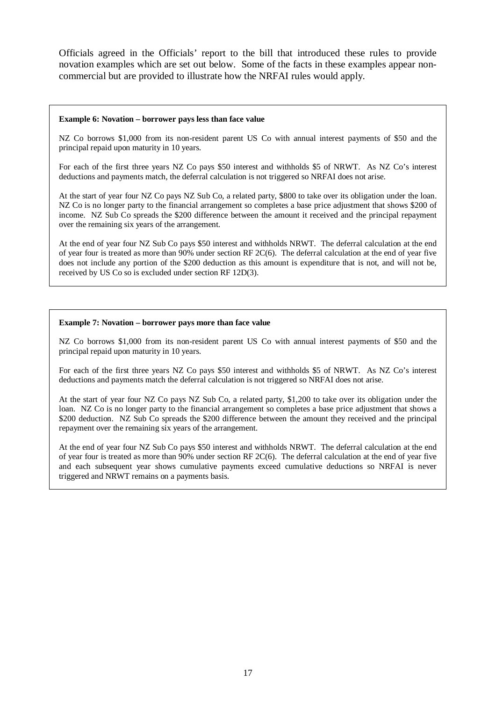Officials agreed in the Officials' report to the bill that introduced these rules to provide novation examples which are set out below. Some of the facts in these examples appear noncommercial but are provided to illustrate how the NRFAI rules would apply.

#### **Example 6: Novation – borrower pays less than face value**

NZ Co borrows \$1,000 from its non-resident parent US Co with annual interest payments of \$50 and the principal repaid upon maturity in 10 years.

For each of the first three years NZ Co pays \$50 interest and withholds \$5 of NRWT. As NZ Co's interest deductions and payments match, the deferral calculation is not triggered so NRFAI does not arise.

At the start of year four NZ Co pays NZ Sub Co, a related party, \$800 to take over its obligation under the loan. NZ Co is no longer party to the financial arrangement so completes a base price adjustment that shows \$200 of income. NZ Sub Co spreads the \$200 difference between the amount it received and the principal repayment over the remaining six years of the arrangement.

At the end of year four NZ Sub Co pays \$50 interest and withholds NRWT. The deferral calculation at the end of year four is treated as more than 90% under section RF 2C(6). The deferral calculation at the end of year five does not include any portion of the \$200 deduction as this amount is expenditure that is not, and will not be, received by US Co so is excluded under section RF 12D(3).

#### **Example 7: Novation – borrower pays more than face value**

NZ Co borrows \$1,000 from its non-resident parent US Co with annual interest payments of \$50 and the principal repaid upon maturity in 10 years.

For each of the first three years NZ Co pays \$50 interest and withholds \$5 of NRWT. As NZ Co's interest deductions and payments match the deferral calculation is not triggered so NRFAI does not arise.

At the start of year four NZ Co pays NZ Sub Co, a related party, \$1,200 to take over its obligation under the loan. NZ Co is no longer party to the financial arrangement so completes a base price adjustment that shows a \$200 deduction. NZ Sub Co spreads the \$200 difference between the amount they received and the principal repayment over the remaining six years of the arrangement.

At the end of year four NZ Sub Co pays \$50 interest and withholds NRWT. The deferral calculation at the end of year four is treated as more than 90% under section RF 2C(6). The deferral calculation at the end of year five and each subsequent year shows cumulative payments exceed cumulative deductions so NRFAI is never triggered and NRWT remains on a payments basis.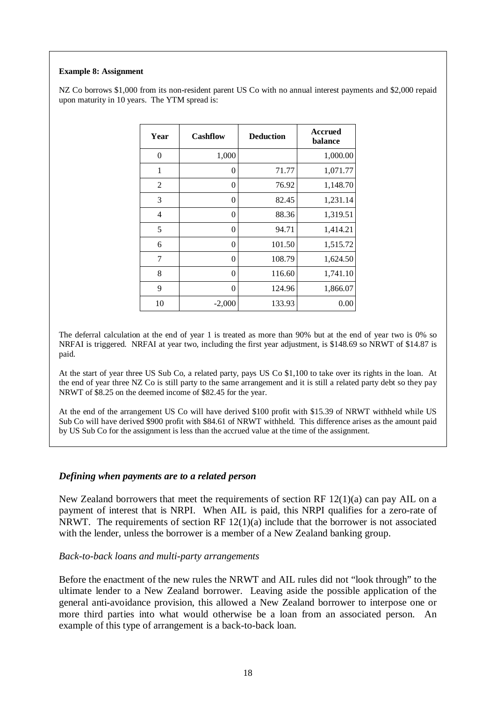### **Example 8: Assignment**

NZ Co borrows \$1,000 from its non-resident parent US Co with no annual interest payments and \$2,000 repaid upon maturity in 10 years. The YTM spread is:

| Year           | <b>Cashflow</b> | <b>Deduction</b> | <b>Accrued</b><br>balance |
|----------------|-----------------|------------------|---------------------------|
| $\overline{0}$ | 1,000           |                  | 1,000.00                  |
| 1              | 0               | 71.77            | 1,071.77                  |
| $\overline{2}$ | 0               | 76.92            | 1,148.70                  |
| 3              | $\overline{0}$  | 82.45            | 1,231.14                  |
| 4              | $\overline{0}$  | 88.36            | 1,319.51                  |
| 5              | $\overline{0}$  | 94.71            | 1,414.21                  |
| 6              | $\overline{0}$  | 101.50           | 1,515.72                  |
| 7              | $\overline{0}$  | 108.79           | 1,624.50                  |
| 8              | $\overline{0}$  | 116.60           | 1,741.10                  |
| 9              | $\theta$        | 124.96           | 1,866.07                  |
| 10             | $-2,000$        | 133.93           | 0.00                      |

The deferral calculation at the end of year 1 is treated as more than 90% but at the end of year two is 0% so NRFAI is triggered. NRFAI at year two, including the first year adjustment, is \$148.69 so NRWT of \$14.87 is paid.

At the start of year three US Sub Co, a related party, pays US Co \$1,100 to take over its rights in the loan. At the end of year three NZ Co is still party to the same arrangement and it is still a related party debt so they pay NRWT of \$8.25 on the deemed income of \$82.45 for the year.

At the end of the arrangement US Co will have derived \$100 profit with \$15.39 of NRWT withheld while US Sub Co will have derived \$900 profit with \$84.61 of NRWT withheld. This difference arises as the amount paid by US Sub Co for the assignment is less than the accrued value at the time of the assignment.

### *Defining when payments are to a related person*

New Zealand borrowers that meet the requirements of section RF 12(1)(a) can pay AIL on a payment of interest that is NRPI. When AIL is paid, this NRPI qualifies for a zero-rate of NRWT. The requirements of section RF  $12(1)(a)$  include that the borrower is not associated with the lender, unless the borrower is a member of a New Zealand banking group.

### *Back-to-back loans and multi-party arrangements*

Before the enactment of the new rules the NRWT and AIL rules did not "look through" to the ultimate lender to a New Zealand borrower. Leaving aside the possible application of the general anti-avoidance provision, this allowed a New Zealand borrower to interpose one or more third parties into what would otherwise be a loan from an associated person. An example of this type of arrangement is a back-to-back loan.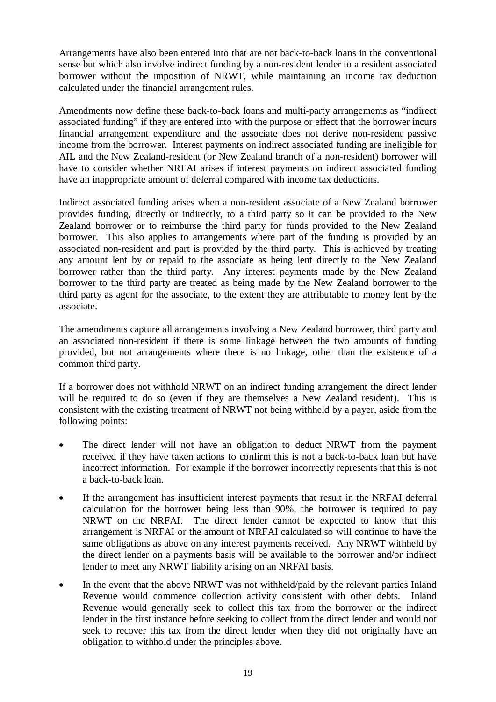Arrangements have also been entered into that are not back-to-back loans in the conventional sense but which also involve indirect funding by a non-resident lender to a resident associated borrower without the imposition of NRWT, while maintaining an income tax deduction calculated under the financial arrangement rules.

Amendments now define these back-to-back loans and multi-party arrangements as "indirect associated funding" if they are entered into with the purpose or effect that the borrower incurs financial arrangement expenditure and the associate does not derive non-resident passive income from the borrower. Interest payments on indirect associated funding are ineligible for AIL and the New Zealand-resident (or New Zealand branch of a non-resident) borrower will have to consider whether NRFAI arises if interest payments on indirect associated funding have an inappropriate amount of deferral compared with income tax deductions.

Indirect associated funding arises when a non-resident associate of a New Zealand borrower provides funding, directly or indirectly, to a third party so it can be provided to the New Zealand borrower or to reimburse the third party for funds provided to the New Zealand borrower. This also applies to arrangements where part of the funding is provided by an associated non-resident and part is provided by the third party. This is achieved by treating any amount lent by or repaid to the associate as being lent directly to the New Zealand borrower rather than the third party. Any interest payments made by the New Zealand borrower to the third party are treated as being made by the New Zealand borrower to the third party as agent for the associate, to the extent they are attributable to money lent by the associate.

The amendments capture all arrangements involving a New Zealand borrower, third party and an associated non-resident if there is some linkage between the two amounts of funding provided, but not arrangements where there is no linkage, other than the existence of a common third party.

If a borrower does not withhold NRWT on an indirect funding arrangement the direct lender will be required to do so (even if they are themselves a New Zealand resident). This is consistent with the existing treatment of NRWT not being withheld by a payer, aside from the following points:

- The direct lender will not have an obligation to deduct NRWT from the payment received if they have taken actions to confirm this is not a back-to-back loan but have incorrect information. For example if the borrower incorrectly represents that this is not a back-to-back loan.
- If the arrangement has insufficient interest payments that result in the NRFAI deferral calculation for the borrower being less than 90%, the borrower is required to pay NRWT on the NRFAI. The direct lender cannot be expected to know that this arrangement is NRFAI or the amount of NRFAI calculated so will continue to have the same obligations as above on any interest payments received. Any NRWT withheld by the direct lender on a payments basis will be available to the borrower and/or indirect lender to meet any NRWT liability arising on an NRFAI basis.
- In the event that the above NRWT was not withheld/paid by the relevant parties Inland Revenue would commence collection activity consistent with other debts. Inland Revenue would generally seek to collect this tax from the borrower or the indirect lender in the first instance before seeking to collect from the direct lender and would not seek to recover this tax from the direct lender when they did not originally have an obligation to withhold under the principles above.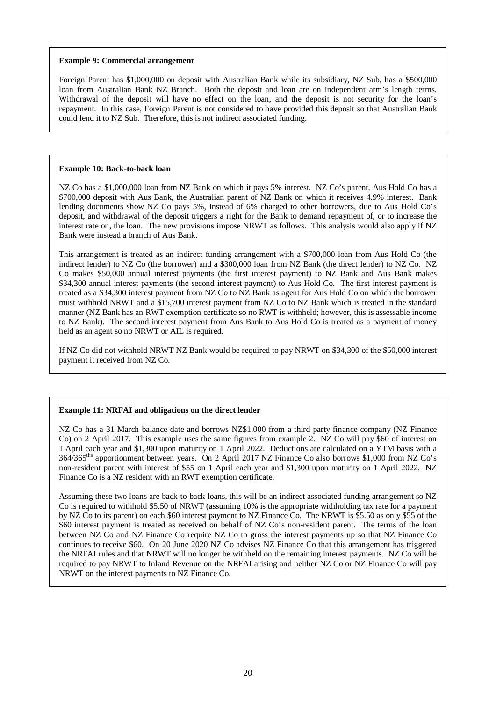#### **Example 9: Commercial arrangement**

Foreign Parent has \$1,000,000 on deposit with Australian Bank while its subsidiary, NZ Sub, has a \$500,000 loan from Australian Bank NZ Branch. Both the deposit and loan are on independent arm's length terms. Withdrawal of the deposit will have no effect on the loan, and the deposit is not security for the loan's repayment. In this case, Foreign Parent is not considered to have provided this deposit so that Australian Bank could lend it to NZ Sub. Therefore, this is not indirect associated funding.

#### **Example 10: Back-to-back loan**

NZ Co has a \$1,000,000 loan from NZ Bank on which it pays 5% interest. NZ Co's parent, Aus Hold Co has a \$700,000 deposit with Aus Bank, the Australian parent of NZ Bank on which it receives 4.9% interest. Bank lending documents show NZ Co pays 5%, instead of 6% charged to other borrowers, due to Aus Hold Co's deposit, and withdrawal of the deposit triggers a right for the Bank to demand repayment of, or to increase the interest rate on, the loan. The new provisions impose NRWT as follows. This analysis would also apply if NZ Bank were instead a branch of Aus Bank.

This arrangement is treated as an indirect funding arrangement with a \$700,000 loan from Aus Hold Co (the indirect lender) to NZ Co (the borrower) and a \$300,000 loan from NZ Bank (the direct lender) to NZ Co. NZ Co makes \$50,000 annual interest payments (the first interest payment) to NZ Bank and Aus Bank makes \$34,300 annual interest payments (the second interest payment) to Aus Hold Co. The first interest payment is treated as a \$34,300 interest payment from NZ Co to NZ Bank as agent for Aus Hold Co on which the borrower must withhold NRWT and a \$15,700 interest payment from NZ Co to NZ Bank which is treated in the standard manner (NZ Bank has an RWT exemption certificate so no RWT is withheld; however, this is assessable income to NZ Bank). The second interest payment from Aus Bank to Aus Hold Co is treated as a payment of money held as an agent so no NRWT or AIL is required.

If NZ Co did not withhold NRWT NZ Bank would be required to pay NRWT on \$34,300 of the \$50,000 interest payment it received from NZ Co.

#### **Example 11: NRFAI and obligations on the direct lender**

NZ Co has a 31 March balance date and borrows NZ\$1,000 from a third party finance company (NZ Finance Co) on 2 April 2017. This example uses the same figures from example 2. NZ Co will pay \$60 of interest on 1 April each year and \$1,300 upon maturity on 1 April 2022. Deductions are calculated on a YTM basis with a 364/365ths apportionment between years. On 2 April 2017 NZ Finance Co also borrows \$1,000 from NZ Co's non-resident parent with interest of \$55 on 1 April each year and \$1,300 upon maturity on 1 April 2022. NZ Finance Co is a NZ resident with an RWT exemption certificate.

Assuming these two loans are back-to-back loans, this will be an indirect associated funding arrangement so NZ Co is required to withhold \$5.50 of NRWT (assuming 10% is the appropriate withholding tax rate for a payment by NZ Co to its parent) on each \$60 interest payment to NZ Finance Co. The NRWT is \$5.50 as only \$55 of the \$60 interest payment is treated as received on behalf of NZ Co's non-resident parent. The terms of the loan between NZ Co and NZ Finance Co require NZ Co to gross the interest payments up so that NZ Finance Co continues to receive \$60. On 20 June 2020 NZ Co advises NZ Finance Co that this arrangement has triggered the NRFAI rules and that NRWT will no longer be withheld on the remaining interest payments. NZ Co will be required to pay NRWT to Inland Revenue on the NRFAI arising and neither NZ Co or NZ Finance Co will pay NRWT on the interest payments to NZ Finance Co.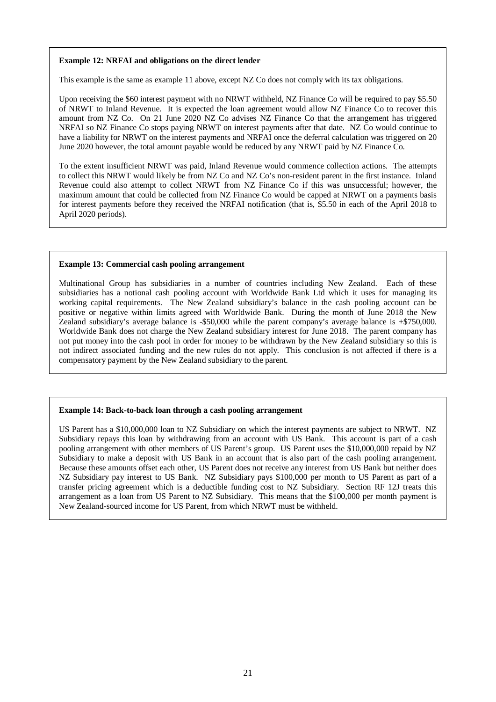#### **Example 12: NRFAI and obligations on the direct lender**

This example is the same as example 11 above, except NZ Co does not comply with its tax obligations.

Upon receiving the \$60 interest payment with no NRWT withheld, NZ Finance Co will be required to pay \$5.50 of NRWT to Inland Revenue. It is expected the loan agreement would allow NZ Finance Co to recover this amount from NZ Co. On 21 June 2020 NZ Co advises NZ Finance Co that the arrangement has triggered NRFAI so NZ Finance Co stops paying NRWT on interest payments after that date. NZ Co would continue to have a liability for NRWT on the interest payments and NRFAI once the deferral calculation was triggered on 20 June 2020 however, the total amount payable would be reduced by any NRWT paid by NZ Finance Co.

To the extent insufficient NRWT was paid, Inland Revenue would commence collection actions. The attempts to collect this NRWT would likely be from NZ Co and NZ Co's non-resident parent in the first instance. Inland Revenue could also attempt to collect NRWT from NZ Finance Co if this was unsuccessful; however, the maximum amount that could be collected from NZ Finance Co would be capped at NRWT on a payments basis for interest payments before they received the NRFAI notification (that is, \$5.50 in each of the April 2018 to April 2020 periods).

#### **Example 13: Commercial cash pooling arrangement**

Multinational Group has subsidiaries in a number of countries including New Zealand. Each of these subsidiaries has a notional cash pooling account with Worldwide Bank Ltd which it uses for managing its working capital requirements. The New Zealand subsidiary's balance in the cash pooling account can be positive or negative within limits agreed with Worldwide Bank. During the month of June 2018 the New Zealand subsidiary's average balance is -\$50,000 while the parent company's average balance is +\$750,000. Worldwide Bank does not charge the New Zealand subsidiary interest for June 2018. The parent company has not put money into the cash pool in order for money to be withdrawn by the New Zealand subsidiary so this is not indirect associated funding and the new rules do not apply. This conclusion is not affected if there is a compensatory payment by the New Zealand subsidiary to the parent.

#### **Example 14: Back-to-back loan through a cash pooling arrangement**

US Parent has a \$10,000,000 loan to NZ Subsidiary on which the interest payments are subject to NRWT. NZ Subsidiary repays this loan by withdrawing from an account with US Bank. This account is part of a cash pooling arrangement with other members of US Parent's group. US Parent uses the \$10,000,000 repaid by NZ Subsidiary to make a deposit with US Bank in an account that is also part of the cash pooling arrangement. Because these amounts offset each other, US Parent does not receive any interest from US Bank but neither does NZ Subsidiary pay interest to US Bank. NZ Subsidiary pays \$100,000 per month to US Parent as part of a transfer pricing agreement which is a deductible funding cost to NZ Subsidiary. Section RF 12J treats this arrangement as a loan from US Parent to NZ Subsidiary. This means that the \$100,000 per month payment is New Zealand-sourced income for US Parent, from which NRWT must be withheld.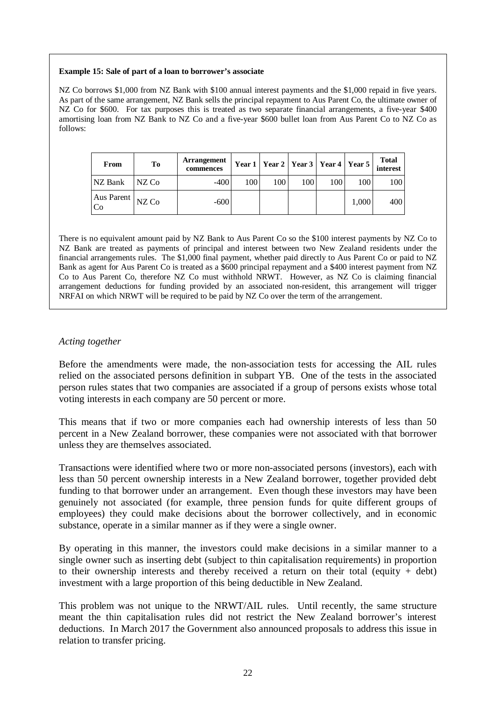#### **Example 15: Sale of part of a loan to borrower's associate**

NZ Co borrows \$1,000 from NZ Bank with \$100 annual interest payments and the \$1,000 repaid in five years. As part of the same arrangement, NZ Bank sells the principal repayment to Aus Parent Co, the ultimate owner of NZ Co for \$600. For tax purposes this is treated as two separate financial arrangements, a five-year \$400 amortising loan from NZ Bank to NZ Co and a five-year \$600 bullet loan from Aus Parent Co to NZ Co as follows:

| From                                 | To     | <b>Arrangement</b><br>commences |     |     |     | Year 1   Year 2   Year 3   Year 4   Year 5 |       | <b>Total</b><br>interest |
|--------------------------------------|--------|---------------------------------|-----|-----|-----|--------------------------------------------|-------|--------------------------|
| NZ Bank                              | INZ Co | $-400$                          | 100 | 100 | 100 | 100                                        | 100   | 100                      |
| Aus Parent $NZ$ Co<br>C <sub>0</sub> |        | $-600$                          |     |     |     |                                            | 1.000 | 400                      |

There is no equivalent amount paid by NZ Bank to Aus Parent Co so the \$100 interest payments by NZ Co to NZ Bank are treated as payments of principal and interest between two New Zealand residents under the financial arrangements rules. The \$1,000 final payment, whether paid directly to Aus Parent Co or paid to NZ Bank as agent for Aus Parent Co is treated as a \$600 principal repayment and a \$400 interest payment from NZ Co to Aus Parent Co, therefore NZ Co must withhold NRWT. However, as NZ Co is claiming financial arrangement deductions for funding provided by an associated non-resident, this arrangement will trigger NRFAI on which NRWT will be required to be paid by NZ Co over the term of the arrangement.

### *Acting together*

Before the amendments were made, the non-association tests for accessing the AIL rules relied on the associated persons definition in subpart YB. One of the tests in the associated person rules states that two companies are associated if a group of persons exists whose total voting interests in each company are 50 percent or more.

This means that if two or more companies each had ownership interests of less than 50 percent in a New Zealand borrower, these companies were not associated with that borrower unless they are themselves associated.

Transactions were identified where two or more non-associated persons (investors), each with less than 50 percent ownership interests in a New Zealand borrower, together provided debt funding to that borrower under an arrangement. Even though these investors may have been genuinely not associated (for example, three pension funds for quite different groups of employees) they could make decisions about the borrower collectively, and in economic substance, operate in a similar manner as if they were a single owner.

By operating in this manner, the investors could make decisions in a similar manner to a single owner such as inserting debt (subject to thin capitalisation requirements) in proportion to their ownership interests and thereby received a return on their total (equity + debt) investment with a large proportion of this being deductible in New Zealand.

This problem was not unique to the NRWT/AIL rules. Until recently, the same structure meant the thin capitalisation rules did not restrict the New Zealand borrower's interest deductions. In March 2017 the Government also announced proposals to address this issue in relation to transfer pricing.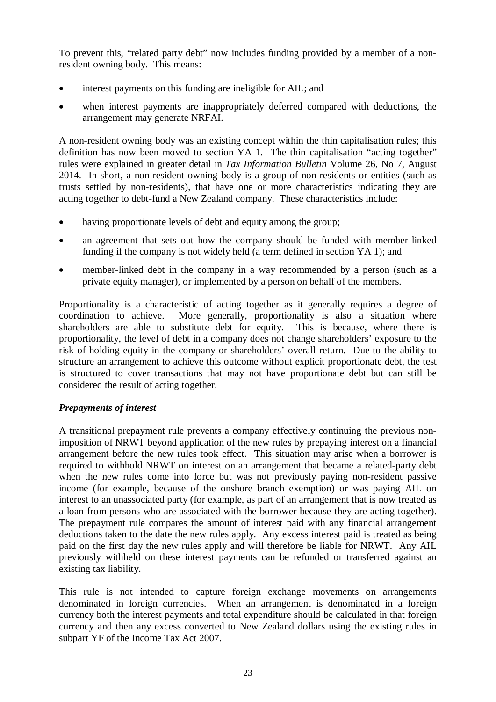To prevent this, "related party debt" now includes funding provided by a member of a nonresident owning body. This means:

- interest payments on this funding are ineligible for AIL; and
- when interest payments are inappropriately deferred compared with deductions, the arrangement may generate NRFAI.

A non-resident owning body was an existing concept within the thin capitalisation rules; this definition has now been moved to section YA 1. The thin capitalisation "acting together" rules were explained in greater detail in *Tax Information Bulletin* Volume 26, No 7, August 2014. In short, a non-resident owning body is a group of non-residents or entities (such as trusts settled by non-residents), that have one or more characteristics indicating they are acting together to debt-fund a New Zealand company. These characteristics include:

- having proportionate levels of debt and equity among the group;
- an agreement that sets out how the company should be funded with member-linked funding if the company is not widely held (a term defined in section YA 1); and
- member-linked debt in the company in a way recommended by a person (such as a private equity manager), or implemented by a person on behalf of the members.

Proportionality is a characteristic of acting together as it generally requires a degree of coordination to achieve. More generally, proportionality is also a situation where shareholders are able to substitute debt for equity. This is because, where there is shareholders are able to substitute debt for equity. proportionality, the level of debt in a company does not change shareholders' exposure to the risk of holding equity in the company or shareholders' overall return. Due to the ability to structure an arrangement to achieve this outcome without explicit proportionate debt, the test is structured to cover transactions that may not have proportionate debt but can still be considered the result of acting together.

# *Prepayments of interest*

A transitional prepayment rule prevents a company effectively continuing the previous nonimposition of NRWT beyond application of the new rules by prepaying interest on a financial arrangement before the new rules took effect. This situation may arise when a borrower is required to withhold NRWT on interest on an arrangement that became a related-party debt when the new rules come into force but was not previously paying non-resident passive income (for example, because of the onshore branch exemption) or was paying AIL on interest to an unassociated party (for example, as part of an arrangement that is now treated as a loan from persons who are associated with the borrower because they are acting together). The prepayment rule compares the amount of interest paid with any financial arrangement deductions taken to the date the new rules apply. Any excess interest paid is treated as being paid on the first day the new rules apply and will therefore be liable for NRWT. Any AIL previously withheld on these interest payments can be refunded or transferred against an existing tax liability.

This rule is not intended to capture foreign exchange movements on arrangements denominated in foreign currencies. When an arrangement is denominated in a foreign currency both the interest payments and total expenditure should be calculated in that foreign currency and then any excess converted to New Zealand dollars using the existing rules in subpart YF of the Income Tax Act 2007.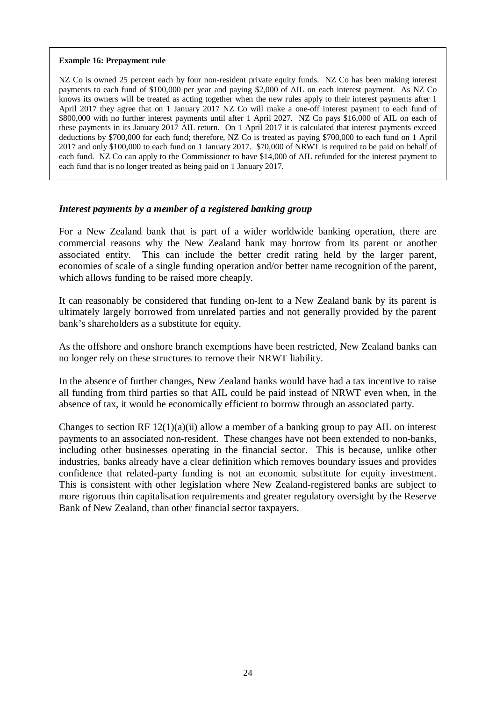### **Example 16: Prepayment rule**

NZ Co is owned 25 percent each by four non-resident private equity funds. NZ Co has been making interest payments to each fund of \$100,000 per year and paying \$2,000 of AIL on each interest payment. As NZ Co knows its owners will be treated as acting together when the new rules apply to their interest payments after 1 April 2017 they agree that on 1 January 2017 NZ Co will make a one-off interest payment to each fund of \$800,000 with no further interest payments until after 1 April 2027. NZ Co pays \$16,000 of AIL on each of these payments in its January 2017 AIL return. On 1 April 2017 it is calculated that interest payments exceed deductions by \$700,000 for each fund; therefore, NZ Co is treated as paying \$700,000 to each fund on 1 April 2017 and only \$100,000 to each fund on 1 January 2017. \$70,000 of NRWT is required to be paid on behalf of each fund. NZ Co can apply to the Commissioner to have \$14,000 of AIL refunded for the interest payment to each fund that is no longer treated as being paid on 1 January 2017.

### *Interest payments by a member of a registered banking group*

For a New Zealand bank that is part of a wider worldwide banking operation, there are commercial reasons why the New Zealand bank may borrow from its parent or another associated entity. This can include the better credit rating held by the larger parent, economies of scale of a single funding operation and/or better name recognition of the parent, which allows funding to be raised more cheaply.

It can reasonably be considered that funding on-lent to a New Zealand bank by its parent is ultimately largely borrowed from unrelated parties and not generally provided by the parent bank's shareholders as a substitute for equity.

As the offshore and onshore branch exemptions have been restricted, New Zealand banks can no longer rely on these structures to remove their NRWT liability.

In the absence of further changes, New Zealand banks would have had a tax incentive to raise all funding from third parties so that AIL could be paid instead of NRWT even when, in the absence of tax, it would be economically efficient to borrow through an associated party.

Changes to section RF  $12(1)(a)(ii)$  allow a member of a banking group to pay AIL on interest payments to an associated non-resident. These changes have not been extended to non-banks, including other businesses operating in the financial sector. This is because, unlike other industries, banks already have a clear definition which removes boundary issues and provides confidence that related-party funding is not an economic substitute for equity investment. This is consistent with other legislation where New Zealand-registered banks are subject to more rigorous thin capitalisation requirements and greater regulatory oversight by the Reserve Bank of New Zealand, than other financial sector taxpayers.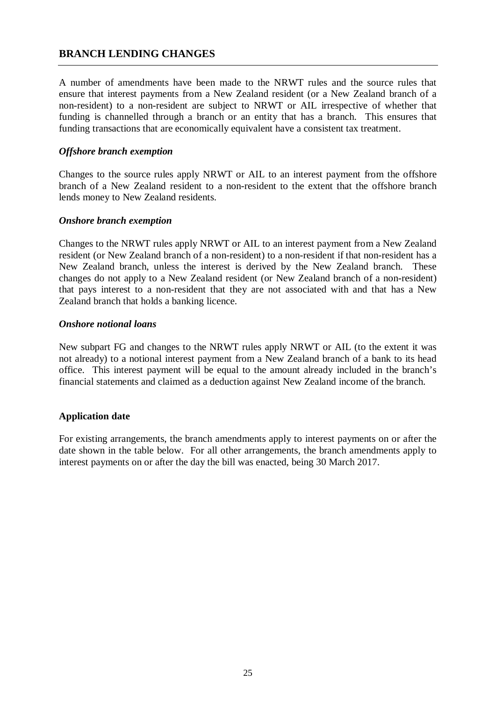# **BRANCH LENDING CHANGES**

A number of amendments have been made to the NRWT rules and the source rules that ensure that interest payments from a New Zealand resident (or a New Zealand branch of a non-resident) to a non-resident are subject to NRWT or AIL irrespective of whether that funding is channelled through a branch or an entity that has a branch. This ensures that funding transactions that are economically equivalent have a consistent tax treatment.

### *Offshore branch exemption*

Changes to the source rules apply NRWT or AIL to an interest payment from the offshore branch of a New Zealand resident to a non-resident to the extent that the offshore branch lends money to New Zealand residents.

## *Onshore branch exemption*

Changes to the NRWT rules apply NRWT or AIL to an interest payment from a New Zealand resident (or New Zealand branch of a non-resident) to a non-resident if that non-resident has a New Zealand branch, unless the interest is derived by the New Zealand branch. These changes do not apply to a New Zealand resident (or New Zealand branch of a non-resident) that pays interest to a non-resident that they are not associated with and that has a New Zealand branch that holds a banking licence.

### *Onshore notional loans*

New subpart FG and changes to the NRWT rules apply NRWT or AIL (to the extent it was not already) to a notional interest payment from a New Zealand branch of a bank to its head office. This interest payment will be equal to the amount already included in the branch's financial statements and claimed as a deduction against New Zealand income of the branch.

# **Application date**

For existing arrangements, the branch amendments apply to interest payments on or after the date shown in the table below. For all other arrangements, the branch amendments apply to interest payments on or after the day the bill was enacted, being 30 March 2017.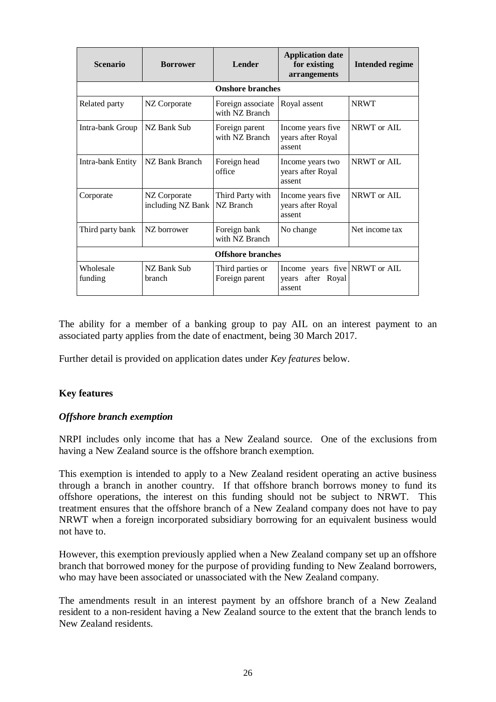| <b>Scenario</b><br><b>Lender</b><br><b>Borrower</b> |                                   | <b>Application date</b><br>for existing<br>arrangements | <b>Intended regime</b>                                       |                |  |  |  |  |  |
|-----------------------------------------------------|-----------------------------------|---------------------------------------------------------|--------------------------------------------------------------|----------------|--|--|--|--|--|
| <b>Onshore branches</b>                             |                                   |                                                         |                                                              |                |  |  |  |  |  |
| Related party                                       | NZ Corporate                      | Foreign associate<br>with NZ Branch                     | Royal assent                                                 | <b>NRWT</b>    |  |  |  |  |  |
| Intra-bank Group                                    | NZ Bank Sub                       | Foreign parent<br>with NZ Branch                        | Income years five.<br>years after Royal<br>assent            | NRWT or AIL    |  |  |  |  |  |
| Intra-bank Entity                                   | NZ Bank Branch                    | Foreign head<br>office                                  | Income years two<br>years after Royal<br>assent              | NRWT or AIL    |  |  |  |  |  |
| Corporate                                           | NZ Corporate<br>including NZ Bank | Third Party with<br>NZ Branch                           | Income years five<br>years after Royal<br>assent             | NRWT or AIL    |  |  |  |  |  |
| Third party bank                                    | NZ borrower                       | Foreign bank<br>with NZ Branch                          | No change                                                    | Net income tax |  |  |  |  |  |
|                                                     | <b>Offshore branches</b>          |                                                         |                                                              |                |  |  |  |  |  |
| Wholesale<br>funding                                | NZ Bank Sub<br>branch             | Third parties or<br>Foreign parent                      | Income years five NRWT or AIL<br>years after Royal<br>assent |                |  |  |  |  |  |

The ability for a member of a banking group to pay AIL on an interest payment to an associated party applies from the date of enactment, being 30 March 2017.

Further detail is provided on application dates under *Key features* below.

# **Key features**

### *Offshore branch exemption*

NRPI includes only income that has a New Zealand source. One of the exclusions from having a New Zealand source is the offshore branch exemption.

This exemption is intended to apply to a New Zealand resident operating an active business through a branch in another country. If that offshore branch borrows money to fund its offshore operations, the interest on this funding should not be subject to NRWT. This treatment ensures that the offshore branch of a New Zealand company does not have to pay NRWT when a foreign incorporated subsidiary borrowing for an equivalent business would not have to.

However, this exemption previously applied when a New Zealand company set up an offshore branch that borrowed money for the purpose of providing funding to New Zealand borrowers, who may have been associated or unassociated with the New Zealand company.

The amendments result in an interest payment by an offshore branch of a New Zealand resident to a non-resident having a New Zealand source to the extent that the branch lends to New Zealand residents.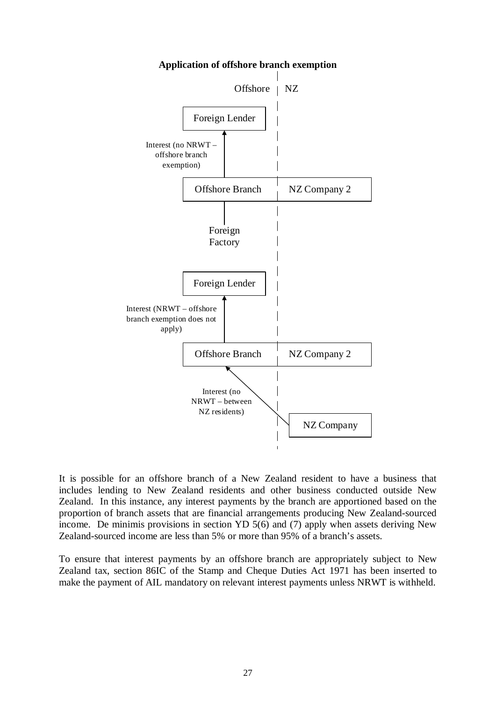

**Application of offshore branch exemption**

It is possible for an offshore branch of a New Zealand resident to have a business that includes lending to New Zealand residents and other business conducted outside New Zealand. In this instance, any interest payments by the branch are apportioned based on the proportion of branch assets that are financial arrangements producing New Zealand-sourced income. De minimis provisions in section YD 5(6) and (7) apply when assets deriving New Zealand-sourced income are less than 5% or more than 95% of a branch's assets.

To ensure that interest payments by an offshore branch are appropriately subject to New Zealand tax, section 86IC of the Stamp and Cheque Duties Act 1971 has been inserted to make the payment of AIL mandatory on relevant interest payments unless NRWT is withheld.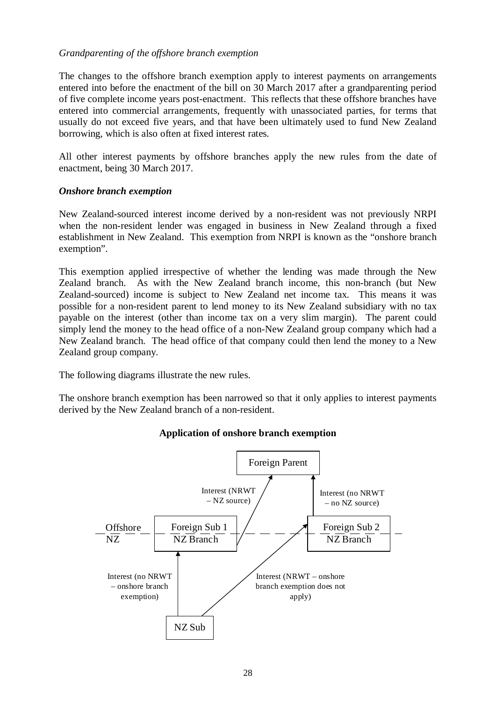## *Grandparenting of the offshore branch exemption*

The changes to the offshore branch exemption apply to interest payments on arrangements entered into before the enactment of the bill on 30 March 2017 after a grandparenting period of five complete income years post-enactment. This reflects that these offshore branches have entered into commercial arrangements, frequently with unassociated parties, for terms that usually do not exceed five years, and that have been ultimately used to fund New Zealand borrowing, which is also often at fixed interest rates.

All other interest payments by offshore branches apply the new rules from the date of enactment, being 30 March 2017.

## *Onshore branch exemption*

New Zealand-sourced interest income derived by a non-resident was not previously NRPI when the non-resident lender was engaged in business in New Zealand through a fixed establishment in New Zealand. This exemption from NRPI is known as the "onshore branch exemption".

This exemption applied irrespective of whether the lending was made through the New Zealand branch. As with the New Zealand branch income, this non-branch (but New Zealand-sourced) income is subject to New Zealand net income tax. This means it was possible for a non-resident parent to lend money to its New Zealand subsidiary with no tax payable on the interest (other than income tax on a very slim margin). The parent could simply lend the money to the head office of a non-New Zealand group company which had a New Zealand branch. The head office of that company could then lend the money to a New Zealand group company.

The following diagrams illustrate the new rules.

The onshore branch exemption has been narrowed so that it only applies to interest payments derived by the New Zealand branch of a non-resident.



# **Application of onshore branch exemption**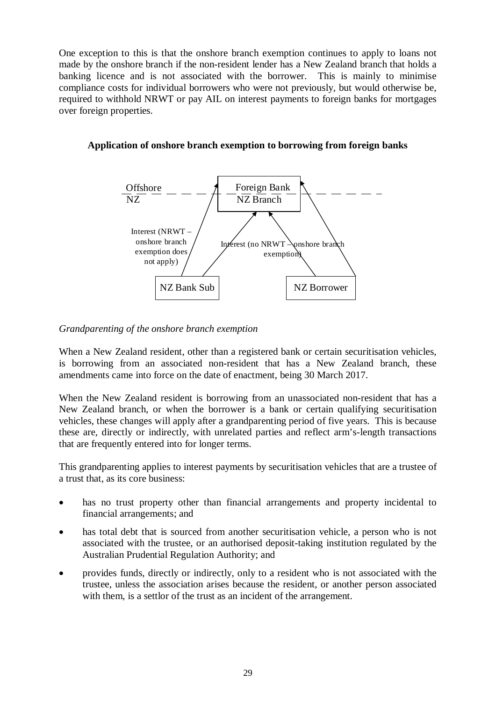One exception to this is that the onshore branch exemption continues to apply to loans not made by the onshore branch if the non-resident lender has a New Zealand branch that holds a banking licence and is not associated with the borrower. This is mainly to minimise compliance costs for individual borrowers who were not previously, but would otherwise be, required to withhold NRWT or pay AIL on interest payments to foreign banks for mortgages over foreign properties.



# **Application of onshore branch exemption to borrowing from foreign banks**

## *Grandparenting of the onshore branch exemption*

When a New Zealand resident, other than a registered bank or certain securitisation vehicles, is borrowing from an associated non-resident that has a New Zealand branch, these amendments came into force on the date of enactment, being 30 March 2017.

When the New Zealand resident is borrowing from an unassociated non-resident that has a New Zealand branch, or when the borrower is a bank or certain qualifying securitisation vehicles, these changes will apply after a grandparenting period of five years. This is because these are, directly or indirectly, with unrelated parties and reflect arm's-length transactions that are frequently entered into for longer terms.

This grandparenting applies to interest payments by securitisation vehicles that are a trustee of a trust that, as its core business:

- has no trust property other than financial arrangements and property incidental to financial arrangements; and
- has total debt that is sourced from another securitisation vehicle, a person who is not associated with the trustee, or an authorised deposit-taking institution regulated by the Australian Prudential Regulation Authority; and
- provides funds, directly or indirectly, only to a resident who is not associated with the trustee, unless the association arises because the resident, or another person associated with them, is a settlor of the trust as an incident of the arrangement.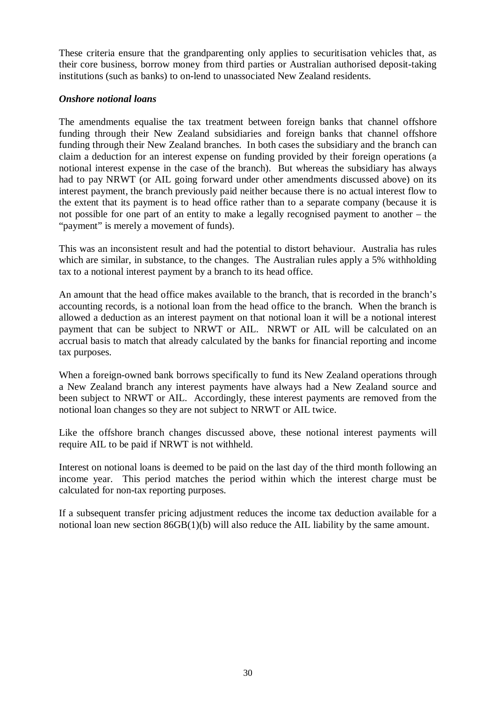These criteria ensure that the grandparenting only applies to securitisation vehicles that, as their core business, borrow money from third parties or Australian authorised deposit-taking institutions (such as banks) to on-lend to unassociated New Zealand residents.

## *Onshore notional loans*

The amendments equalise the tax treatment between foreign banks that channel offshore funding through their New Zealand subsidiaries and foreign banks that channel offshore funding through their New Zealand branches. In both cases the subsidiary and the branch can claim a deduction for an interest expense on funding provided by their foreign operations (a notional interest expense in the case of the branch). But whereas the subsidiary has always had to pay NRWT (or AIL going forward under other amendments discussed above) on its interest payment, the branch previously paid neither because there is no actual interest flow to the extent that its payment is to head office rather than to a separate company (because it is not possible for one part of an entity to make a legally recognised payment to another – the "payment" is merely a movement of funds).

This was an inconsistent result and had the potential to distort behaviour. Australia has rules which are similar, in substance, to the changes. The Australian rules apply a 5% withholding tax to a notional interest payment by a branch to its head office.

An amount that the head office makes available to the branch, that is recorded in the branch's accounting records, is a notional loan from the head office to the branch. When the branch is allowed a deduction as an interest payment on that notional loan it will be a notional interest payment that can be subject to NRWT or AIL. NRWT or AIL will be calculated on an accrual basis to match that already calculated by the banks for financial reporting and income tax purposes.

When a foreign-owned bank borrows specifically to fund its New Zealand operations through a New Zealand branch any interest payments have always had a New Zealand source and been subject to NRWT or AIL. Accordingly, these interest payments are removed from the notional loan changes so they are not subject to NRWT or AIL twice.

Like the offshore branch changes discussed above, these notional interest payments will require AIL to be paid if NRWT is not withheld.

Interest on notional loans is deemed to be paid on the last day of the third month following an income year. This period matches the period within which the interest charge must be calculated for non-tax reporting purposes.

If a subsequent transfer pricing adjustment reduces the income tax deduction available for a notional loan new section 86GB(1)(b) will also reduce the AIL liability by the same amount.